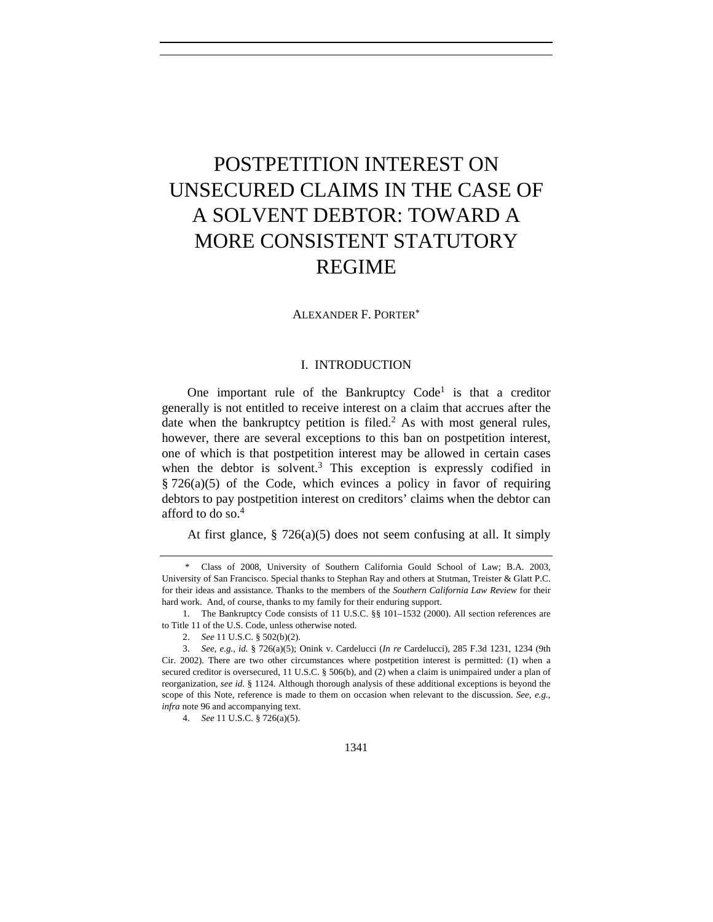# POSTPETITION INTEREST ON UNSECURED CLAIMS IN THE CASE OF A SOLVENT DEBTOR: TOWARD A MORE CONSISTENT STATUTORY REGIME

ALEXANDER F. PORTER<sup>∗</sup>

# I. INTRODUCTION

One important rule of the Bankruptcy  $Code<sup>1</sup>$  is that a creditor generally is not entitled to receive interest on a claim that accrues after the date when the bankruptcy petition is filed.<sup>2</sup> As with most general rules, however, there are several exceptions to this ban on postpetition interest, one of which is that postpetition interest may be allowed in certain cases when the debtor is solvent. $3$  This exception is expressly codified in § 726(a)(5) of the Code, which evinces a policy in favor of requiring debtors to pay postpetition interest on creditors' claims when the debtor can afford to do so.4

At first glance,  $\S 726(a)(5)$  does not seem confusing at all. It simply

 <sup>\*</sup> Class of 2008, University of Southern California Gould School of Law; B.A. 2003, University of San Francisco. Special thanks to Stephan Ray and others at Stutman, Treister & Glatt P.C. for their ideas and assistance. Thanks to the members of the *Southern California Law Review* for their hard work. And, of course, thanks to my family for their enduring support.

 <sup>1.</sup> The Bankruptcy Code consists of 11 U.S.C. §§ 101–1532 (2000). All section references are to Title 11 of the U.S. Code, unless otherwise noted.

<sup>2.</sup> *See* 11 U.S.C. § 502(b)(2).

<sup>3.</sup> *See, e.g.*, *id.* § 726(a)(5); Onink v. Cardelucci (*In re* Cardelucci), 285 F.3d 1231, 1234 (9th Cir. 2002). There are two other circumstances where postpetition interest is permitted: (1) when a secured creditor is oversecured, 11 U.S.C. § 506(b), and (2) when a claim is unimpaired under a plan of reorganization, *see id.* § 1124. Although thorough analysis of these additional exceptions is beyond the scope of this Note, reference is made to them on occasion when relevant to the discussion. *See, e.g.*, *infra* note 96 and accompanying text.

<sup>4.</sup> *See* 11 U.S.C. § 726(a)(5).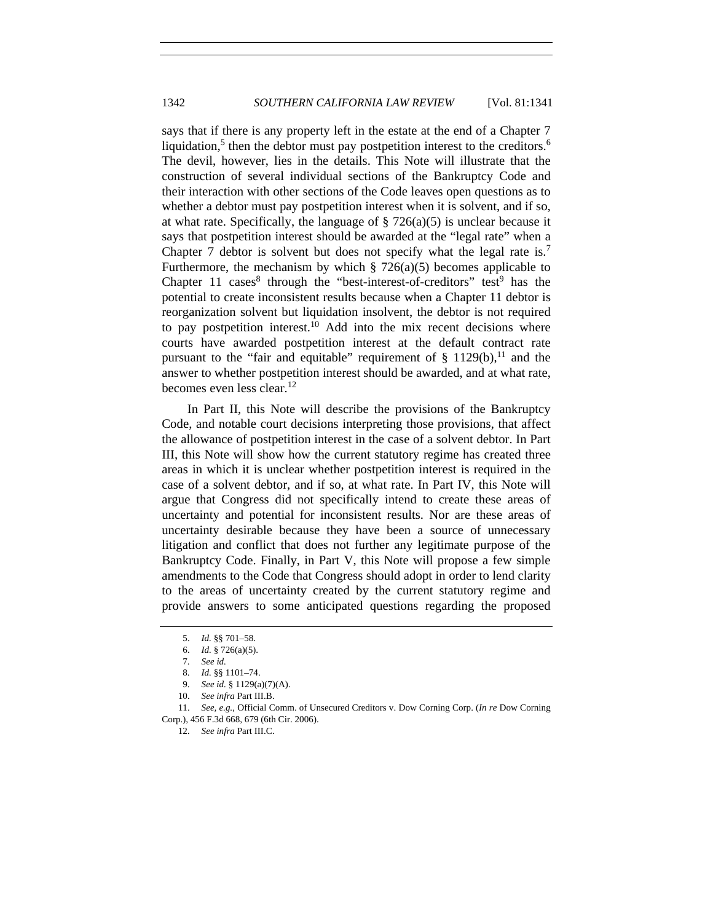says that if there is any property left in the estate at the end of a Chapter 7 liquidation,<sup>5</sup> then the debtor must pay postpetition interest to the creditors.<sup>6</sup> The devil, however, lies in the details. This Note will illustrate that the construction of several individual sections of the Bankruptcy Code and their interaction with other sections of the Code leaves open questions as to whether a debtor must pay postpetition interest when it is solvent, and if so, at what rate. Specifically, the language of  $\S 726(a)(5)$  is unclear because it says that postpetition interest should be awarded at the "legal rate" when a Chapter 7 debtor is solvent but does not specify what the legal rate is.<sup>7</sup> Furthermore, the mechanism by which  $\S$  726(a)(5) becomes applicable to Chapter 11 cases<sup>8</sup> through the "best-interest-of-creditors" test<sup>9</sup> has the potential to create inconsistent results because when a Chapter 11 debtor is reorganization solvent but liquidation insolvent, the debtor is not required to pay postpetition interest.<sup>10</sup> Add into the mix recent decisions where courts have awarded postpetition interest at the default contract rate pursuant to the "fair and equitable" requirement of  $\S$  1129(b),<sup>11</sup> and the answer to whether postpetition interest should be awarded, and at what rate, becomes even less clear.<sup>12</sup>

In Part II, this Note will describe the provisions of the Bankruptcy Code, and notable court decisions interpreting those provisions, that affect the allowance of postpetition interest in the case of a solvent debtor. In Part III, this Note will show how the current statutory regime has created three areas in which it is unclear whether postpetition interest is required in the case of a solvent debtor, and if so, at what rate. In Part IV, this Note will argue that Congress did not specifically intend to create these areas of uncertainty and potential for inconsistent results. Nor are these areas of uncertainty desirable because they have been a source of unnecessary litigation and conflict that does not further any legitimate purpose of the Bankruptcy Code. Finally, in Part V, this Note will propose a few simple amendments to the Code that Congress should adopt in order to lend clarity to the areas of uncertainty created by the current statutory regime and provide answers to some anticipated questions regarding the proposed

- 10. *See infra* Part III.B.
- 11. *See, e.g.*, Official Comm. of Unsecured Creditors v. Dow Corning Corp. (*In re* Dow Corning Corp.), 456 F.3d 668, 679 (6th Cir. 2006).

12. *See infra* Part III.C.

 <sup>5.</sup> *Id.* §§ 701–58.

<sup>6.</sup> *Id.* § 726(a)(5).

<sup>7.</sup> *See id.*

 <sup>8.</sup> *Id.* §§ 1101–74.

<sup>9.</sup> *See id.* § 1129(a)(7)(A).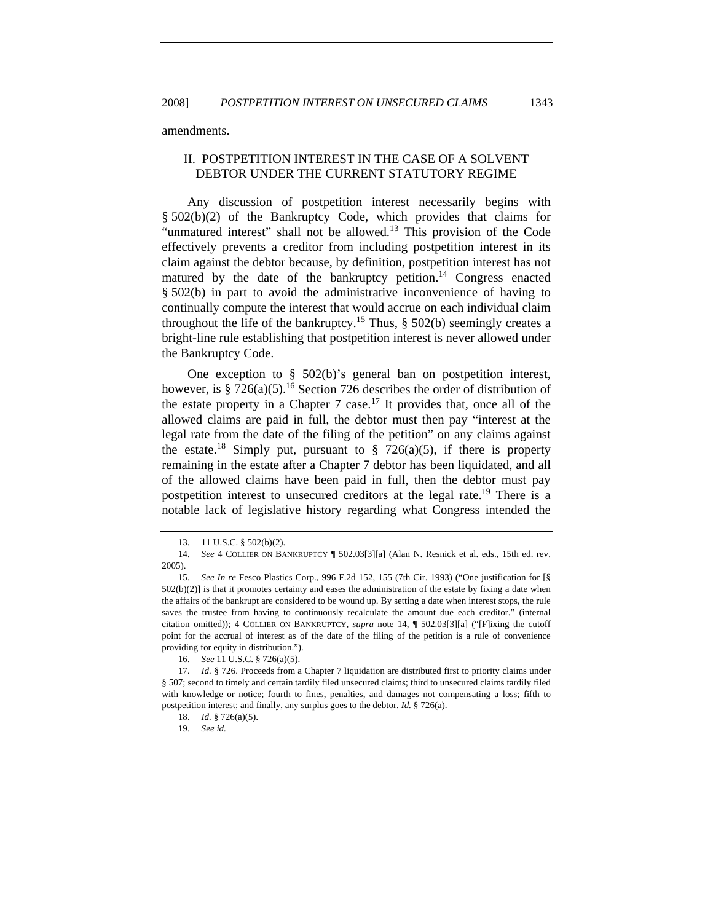amendments.

# II. POSTPETITION INTEREST IN THE CASE OF A SOLVENT DEBTOR UNDER THE CURRENT STATUTORY REGIME

Any discussion of postpetition interest necessarily begins with § 502(b)(2) of the Bankruptcy Code, which provides that claims for "unmatured interest" shall not be allowed.13 This provision of the Code effectively prevents a creditor from including postpetition interest in its claim against the debtor because, by definition, postpetition interest has not matured by the date of the bankruptcy petition.<sup>14</sup> Congress enacted § 502(b) in part to avoid the administrative inconvenience of having to continually compute the interest that would accrue on each individual claim throughout the life of the bankruptcy.<sup>15</sup> Thus,  $\S$  502(b) seemingly creates a bright-line rule establishing that postpetition interest is never allowed under the Bankruptcy Code.

One exception to § 502(b)'s general ban on postpetition interest, however, is § 726(a)(5).<sup>16</sup> Section 726 describes the order of distribution of the estate property in a Chapter 7 case.<sup>17</sup> It provides that, once all of the allowed claims are paid in full, the debtor must then pay "interest at the legal rate from the date of the filing of the petition" on any claims against the estate.<sup>18</sup> Simply put, pursuant to  $\S$  726(a)(5), if there is property remaining in the estate after a Chapter 7 debtor has been liquidated, and all of the allowed claims have been paid in full, then the debtor must pay postpetition interest to unsecured creditors at the legal rate.<sup>19</sup> There is a notable lack of legislative history regarding what Congress intended the

 <sup>13. 11</sup> U.S.C. § 502(b)(2).

<sup>14.</sup> *See* 4 COLLIER ON BANKRUPTCY ¶ 502.03[3][a] (Alan N. Resnick et al. eds., 15th ed. rev. 2005).

<sup>15.</sup> *See In re* Fesco Plastics Corp., 996 F.2d 152, 155 (7th Cir. 1993) ("One justification for [§  $502(b)(2)$ ] is that it promotes certainty and eases the administration of the estate by fixing a date when the affairs of the bankrupt are considered to be wound up. By setting a date when interest stops, the rule saves the trustee from having to continuously recalculate the amount due each creditor." (internal citation omitted)); 4 COLLIER ON BANKRUPTCY, *supra* note 14, ¶ 502.03[3][a] ("[F]ixing the cutoff point for the accrual of interest as of the date of the filing of the petition is a rule of convenience providing for equity in distribution.").

<sup>16.</sup> *See* 11 U.S.C. § 726(a)(5).

<sup>17.</sup> *Id.* § 726. Proceeds from a Chapter 7 liquidation are distributed first to priority claims under § 507; second to timely and certain tardily filed unsecured claims; third to unsecured claims tardily filed with knowledge or notice; fourth to fines, penalties, and damages not compensating a loss; fifth to postpetition interest; and finally, any surplus goes to the debtor. *Id.* § 726(a).

<sup>18.</sup> *Id.* § 726(a)(5).

<sup>19.</sup> *See id.*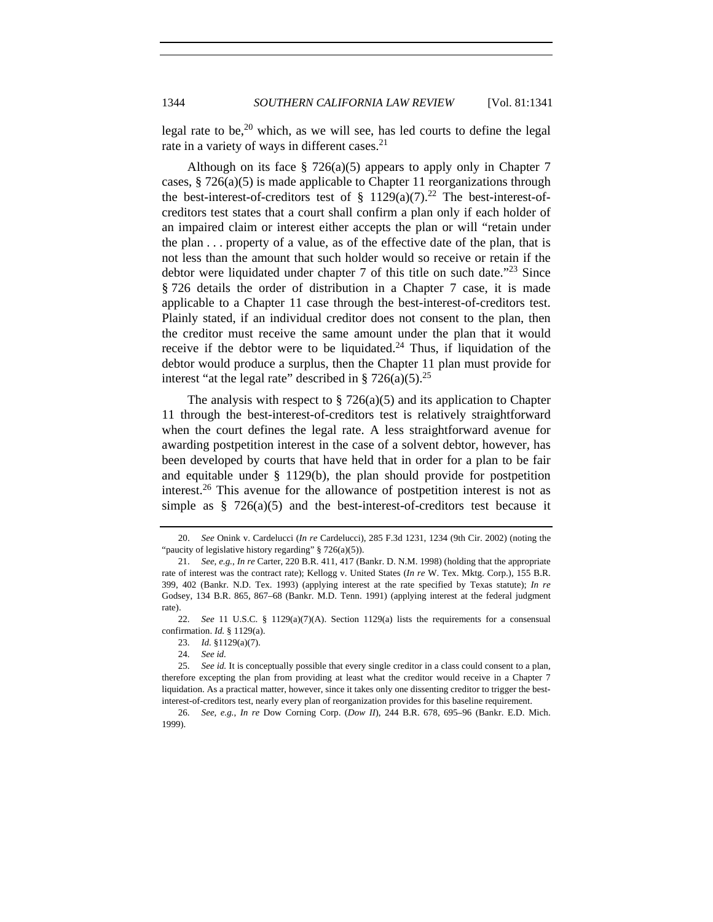legal rate to be,<sup>20</sup> which, as we will see, has led courts to define the legal rate in a variety of ways in different cases.<sup>21</sup>

Although on its face  $\S$  726(a)(5) appears to apply only in Chapter 7 cases,  $\S 726(a)(5)$  is made applicable to Chapter 11 reorganizations through the best-interest-of-creditors test of  $\S$  1129(a)(7).<sup>22</sup> The best-interest-ofcreditors test states that a court shall confirm a plan only if each holder of an impaired claim or interest either accepts the plan or will "retain under the plan . . . property of a value, as of the effective date of the plan, that is not less than the amount that such holder would so receive or retain if the debtor were liquidated under chapter 7 of this title on such date.<sup> $23$ </sup> Since § 726 details the order of distribution in a Chapter 7 case, it is made applicable to a Chapter 11 case through the best-interest-of-creditors test. Plainly stated, if an individual creditor does not consent to the plan, then the creditor must receive the same amount under the plan that it would receive if the debtor were to be liquidated.<sup>24</sup> Thus, if liquidation of the debtor would produce a surplus, then the Chapter 11 plan must provide for interest "at the legal rate" described in § 726(a)(5).<sup>25</sup>

The analysis with respect to  $\S 726(a)(5)$  and its application to Chapter 11 through the best-interest-of-creditors test is relatively straightforward when the court defines the legal rate. A less straightforward avenue for awarding postpetition interest in the case of a solvent debtor, however, has been developed by courts that have held that in order for a plan to be fair and equitable under § 1129(b), the plan should provide for postpetition interest.<sup>26</sup> This avenue for the allowance of postpetition interest is not as simple as  $\S$  726(a)(5) and the best-interest-of-creditors test because it

<sup>20.</sup> *See* Onink v. Cardelucci (*In re* Cardelucci), 285 F.3d 1231, 1234 (9th Cir. 2002) (noting the "paucity of legislative history regarding"  $§ 726(a)(5)$ ).

<sup>21.</sup> *See, e.g.*, *In re* Carter, 220 B.R. 411, 417 (Bankr. D. N.M. 1998) (holding that the appropriate rate of interest was the contract rate); Kellogg v. United States (*In re* W. Tex. Mktg. Corp.), 155 B.R. 399, 402 (Bankr. N.D. Tex. 1993) (applying interest at the rate specified by Texas statute); *In re* Godsey, 134 B.R. 865, 867–68 (Bankr. M.D. Tenn. 1991) (applying interest at the federal judgment rate).

<sup>22.</sup> *See* 11 U.S.C. § 1129(a)(7)(A). Section 1129(a) lists the requirements for a consensual confirmation. *Id.* § 1129(a).

<sup>23.</sup> *Id.* §1129(a)(7).

<sup>24.</sup> *See id.*

<sup>25.</sup> *See id.* It is conceptually possible that every single creditor in a class could consent to a plan, therefore excepting the plan from providing at least what the creditor would receive in a Chapter 7 liquidation. As a practical matter, however, since it takes only one dissenting creditor to trigger the bestinterest-of-creditors test, nearly every plan of reorganization provides for this baseline requirement.

<sup>26.</sup> *See, e.g.*, *In re* Dow Corning Corp. (*Dow II*), 244 B.R. 678, 695–96 (Bankr. E.D. Mich. 1999).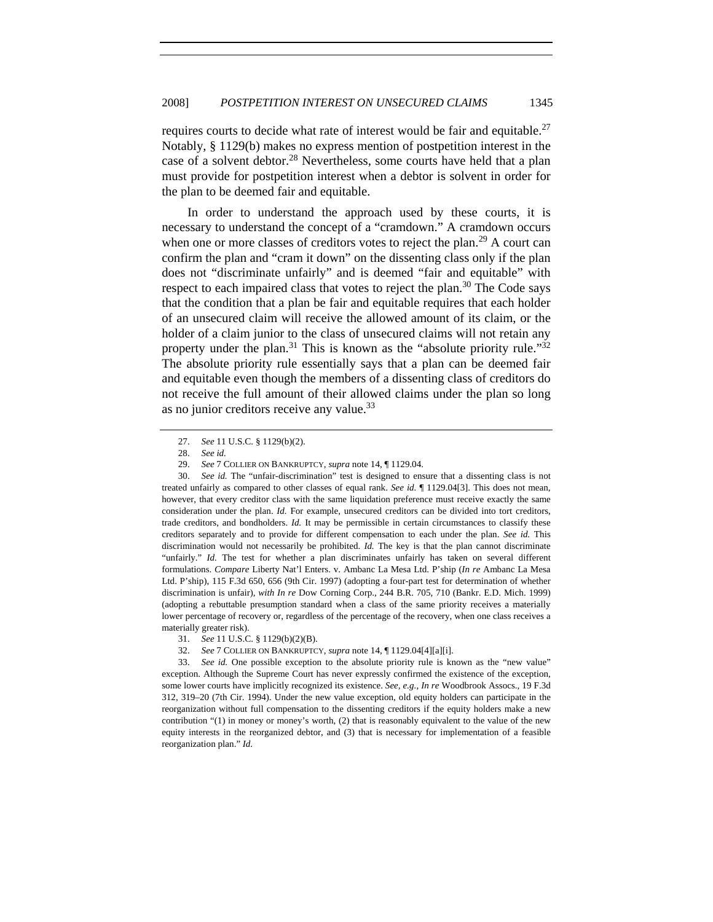requires courts to decide what rate of interest would be fair and equitable.<sup>27</sup> Notably, § 1129(b) makes no express mention of postpetition interest in the case of a solvent debtor.<sup>28</sup> Nevertheless, some courts have held that a plan must provide for postpetition interest when a debtor is solvent in order for the plan to be deemed fair and equitable.

In order to understand the approach used by these courts, it is necessary to understand the concept of a "cramdown." A cramdown occurs when one or more classes of creditors votes to reject the plan.<sup>29</sup> A court can confirm the plan and "cram it down" on the dissenting class only if the plan does not "discriminate unfairly" and is deemed "fair and equitable" with respect to each impaired class that votes to reject the plan. $30$  The Code says that the condition that a plan be fair and equitable requires that each holder of an unsecured claim will receive the allowed amount of its claim, or the holder of a claim junior to the class of unsecured claims will not retain any property under the plan.<sup>31</sup> This is known as the "absolute priority rule."<sup>32</sup> The absolute priority rule essentially says that a plan can be deemed fair and equitable even though the members of a dissenting class of creditors do not receive the full amount of their allowed claims under the plan so long as no junior creditors receive any value.<sup>33</sup>

<sup>27.</sup> *See* 11 U.S.C. § 1129(b)(2).

<sup>28.</sup> *See id.*

<sup>29.</sup> *See* 7 COLLIER ON BANKRUPTCY, *supra* note 14, ¶ 1129.04.

<sup>30.</sup> *See id.* The "unfair-discrimination" test is designed to ensure that a dissenting class is not treated unfairly as compared to other classes of equal rank. *See id.* ¶ 1129.04[3]. This does not mean, however, that every creditor class with the same liquidation preference must receive exactly the same consideration under the plan. *Id.* For example, unsecured creditors can be divided into tort creditors, trade creditors, and bondholders. *Id.* It may be permissible in certain circumstances to classify these creditors separately and to provide for different compensation to each under the plan. *See id.* This discrimination would not necessarily be prohibited. *Id.* The key is that the plan cannot discriminate "unfairly." *Id.* The test for whether a plan discriminates unfairly has taken on several different formulations. *Compare* Liberty Nat'l Enters. v. Ambanc La Mesa Ltd. P'ship (*In re* Ambanc La Mesa Ltd. P'ship), 115 F.3d 650, 656 (9th Cir. 1997) (adopting a four-part test for determination of whether discrimination is unfair), *with In re* Dow Corning Corp., 244 B.R. 705, 710 (Bankr. E.D. Mich. 1999) (adopting a rebuttable presumption standard when a class of the same priority receives a materially lower percentage of recovery or, regardless of the percentage of the recovery, when one class receives a materially greater risk).

<sup>31.</sup> *See* 11 U.S.C. § 1129(b)(2)(B).

<sup>32.</sup> *See* 7 COLLIER ON BANKRUPTCY, *supra* note 14, ¶ 1129.04[4][a][i].

<sup>33.</sup> *See id.* One possible exception to the absolute priority rule is known as the "new value" exception. Although the Supreme Court has never expressly confirmed the existence of the exception, some lower courts have implicitly recognized its existence. *See, e.g.*, *In re* Woodbrook Assocs., 19 F.3d 312, 319–20 (7th Cir. 1994). Under the new value exception, old equity holders can participate in the reorganization without full compensation to the dissenting creditors if the equity holders make a new contribution "(1) in money or money's worth, (2) that is reasonably equivalent to the value of the new equity interests in the reorganized debtor, and (3) that is necessary for implementation of a feasible reorganization plan." *Id.*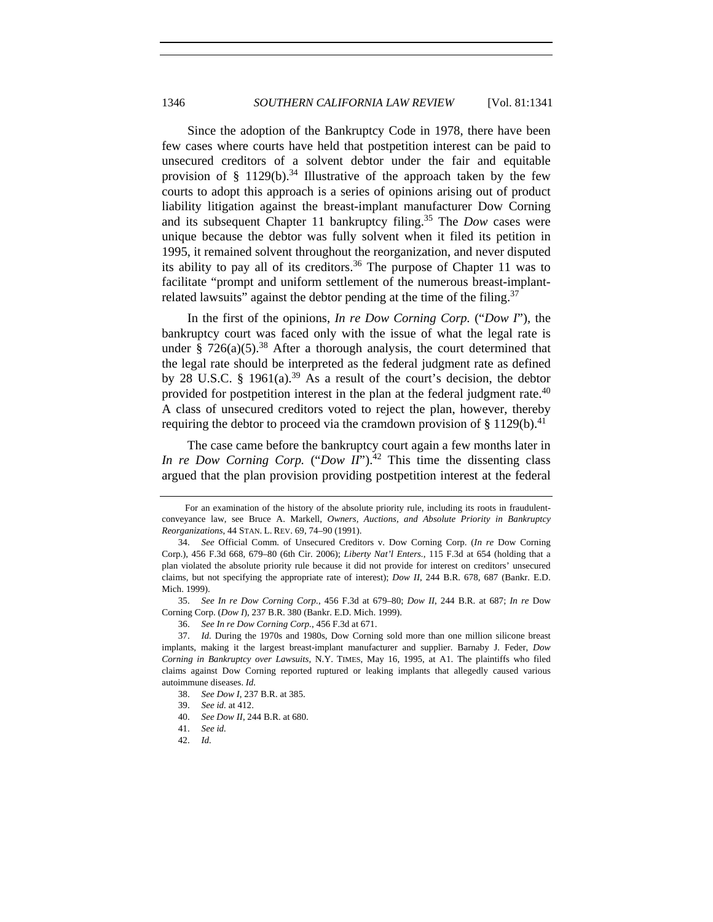Since the adoption of the Bankruptcy Code in 1978, there have been few cases where courts have held that postpetition interest can be paid to unsecured creditors of a solvent debtor under the fair and equitable provision of § 1129(b).<sup>34</sup> Illustrative of the approach taken by the few courts to adopt this approach is a series of opinions arising out of product liability litigation against the breast-implant manufacturer Dow Corning and its subsequent Chapter 11 bankruptcy filing.<sup>35</sup> The *Dow* cases were unique because the debtor was fully solvent when it filed its petition in 1995, it remained solvent throughout the reorganization, and never disputed its ability to pay all of its creditors.<sup>36</sup> The purpose of Chapter 11 was to facilitate "prompt and uniform settlement of the numerous breast-implantrelated lawsuits" against the debtor pending at the time of the filing.<sup>37</sup>

In the first of the opinions, *In re Dow Corning Corp.* ("*Dow I*"), the bankruptcy court was faced only with the issue of what the legal rate is under § 726(a)(5).<sup>38</sup> After a thorough analysis, the court determined that the legal rate should be interpreted as the federal judgment rate as defined by 28 U.S.C. § 1961(a).<sup>39</sup> As a result of the court's decision, the debtor provided for postpetition interest in the plan at the federal judgment rate.<sup>40</sup> A class of unsecured creditors voted to reject the plan, however, thereby requiring the debtor to proceed via the cramdown provision of  $\S 1129(b)$ <sup>41</sup>

The case came before the bankruptcy court again a few months later in *In re Dow Corning Corp.* ("*Dow II*").<sup>42</sup> This time the dissenting class argued that the plan provision providing postpetition interest at the federal

For an examination of the history of the absolute priority rule, including its roots in fraudulentconveyance law, see Bruce A. Markell, *Owners, Auctions, and Absolute Priority in Bankruptcy Reorganizations*, 44 STAN. L. REV. 69, 74–90 (1991).

<sup>34.</sup> *See* Official Comm. of Unsecured Creditors v. Dow Corning Corp. (*In re* Dow Corning Corp.), 456 F.3d 668, 679–80 (6th Cir. 2006); *Liberty Nat'l Enters.*, 115 F.3d at 654 (holding that a plan violated the absolute priority rule because it did not provide for interest on creditors' unsecured claims, but not specifying the appropriate rate of interest); *Dow II*, 244 B.R. 678, 687 (Bankr. E.D. Mich. 1999).

<sup>35.</sup> *See In re Dow Corning Corp.*, 456 F.3d at 679–80; *Dow II*, 244 B.R. at 687; *In re* Dow Corning Corp. (*Dow I*), 237 B.R. 380 (Bankr. E.D. Mich. 1999).

<sup>36.</sup> *See In re Dow Corning Corp.*, 456 F.3d at 671.

<sup>37.</sup> *Id.* During the 1970s and 1980s, Dow Corning sold more than one million silicone breast implants, making it the largest breast-implant manufacturer and supplier. Barnaby J. Feder, *Dow Corning in Bankruptcy over Lawsuits*, N.Y. TIMES, May 16, 1995, at A1. The plaintiffs who filed claims against Dow Corning reported ruptured or leaking implants that allegedly caused various autoimmune diseases. *Id.*

<sup>38.</sup> *See Dow I*, 237 B.R. at 385.

<sup>39.</sup> *See id.* at 412.

<sup>40.</sup> *See Dow II*, 244 B.R. at 680.

<sup>41.</sup> *See id.*

<sup>42.</sup> *Id.*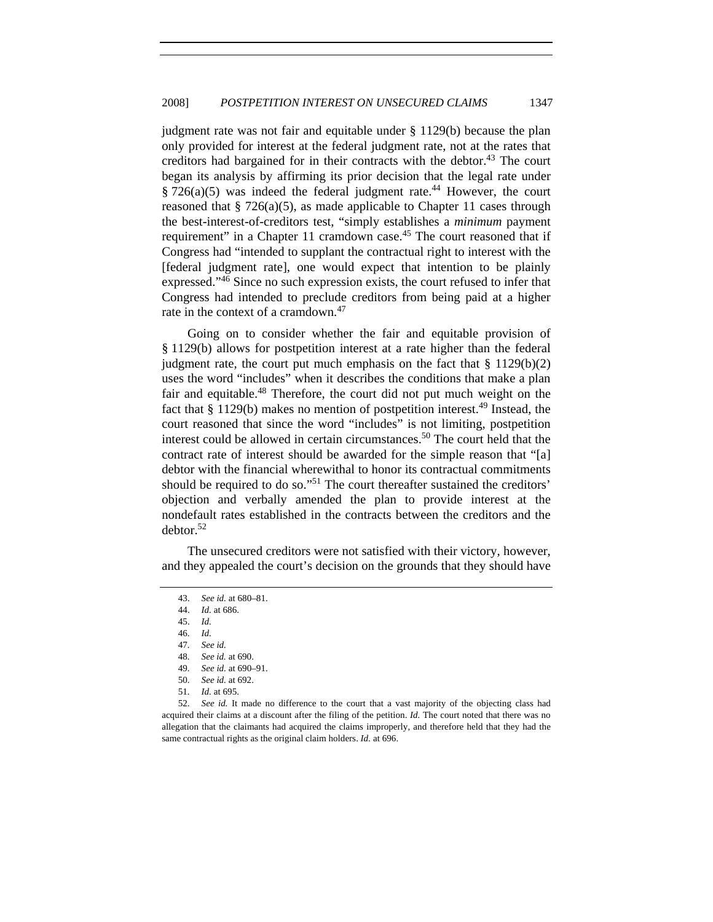judgment rate was not fair and equitable under § 1129(b) because the plan only provided for interest at the federal judgment rate, not at the rates that creditors had bargained for in their contracts with the debtor.<sup>43</sup> The court began its analysis by affirming its prior decision that the legal rate under  $§ 726(a)(5)$  was indeed the federal judgment rate.<sup>44</sup> However, the court reasoned that  $\S$  726(a)(5), as made applicable to Chapter 11 cases through the best-interest-of-creditors test, "simply establishes a *minimum* payment requirement" in a Chapter 11 cramdown case.<sup>45</sup> The court reasoned that if Congress had "intended to supplant the contractual right to interest with the [federal judgment rate], one would expect that intention to be plainly expressed."46 Since no such expression exists, the court refused to infer that Congress had intended to preclude creditors from being paid at a higher rate in the context of a cramdown.<sup>47</sup>

Going on to consider whether the fair and equitable provision of § 1129(b) allows for postpetition interest at a rate higher than the federal judgment rate, the court put much emphasis on the fact that  $\S 1129(b)(2)$ uses the word "includes" when it describes the conditions that make a plan fair and equitable.<sup>48</sup> Therefore, the court did not put much weight on the fact that  $\S 1129(b)$  makes no mention of postpetition interest.<sup>49</sup> Instead, the court reasoned that since the word "includes" is not limiting, postpetition interest could be allowed in certain circumstances.<sup>50</sup> The court held that the contract rate of interest should be awarded for the simple reason that "[a] debtor with the financial wherewithal to honor its contractual commitments should be required to do so."<sup>51</sup> The court thereafter sustained the creditors' objection and verbally amended the plan to provide interest at the nondefault rates established in the contracts between the creditors and the  $dektor.<sup>52</sup>$ 

The unsecured creditors were not satisfied with their victory, however, and they appealed the court's decision on the grounds that they should have

49. *See id.* at 690–91.

<sup>43.</sup> *See id.* at 680–81.

<sup>44.</sup> *Id.* at 686.

<sup>45.</sup> *Id.*

<sup>46.</sup> *Id.*

<sup>47.</sup> *See id.*

<sup>48.</sup> *See id.* at 690.

<sup>50.</sup> *See id.* at 692.

<sup>51.</sup> *Id.* at 695.

<sup>52.</sup> *See id.* It made no difference to the court that a vast majority of the objecting class had acquired their claims at a discount after the filing of the petition. *Id.* The court noted that there was no allegation that the claimants had acquired the claims improperly, and therefore held that they had the same contractual rights as the original claim holders. *Id.* at 696.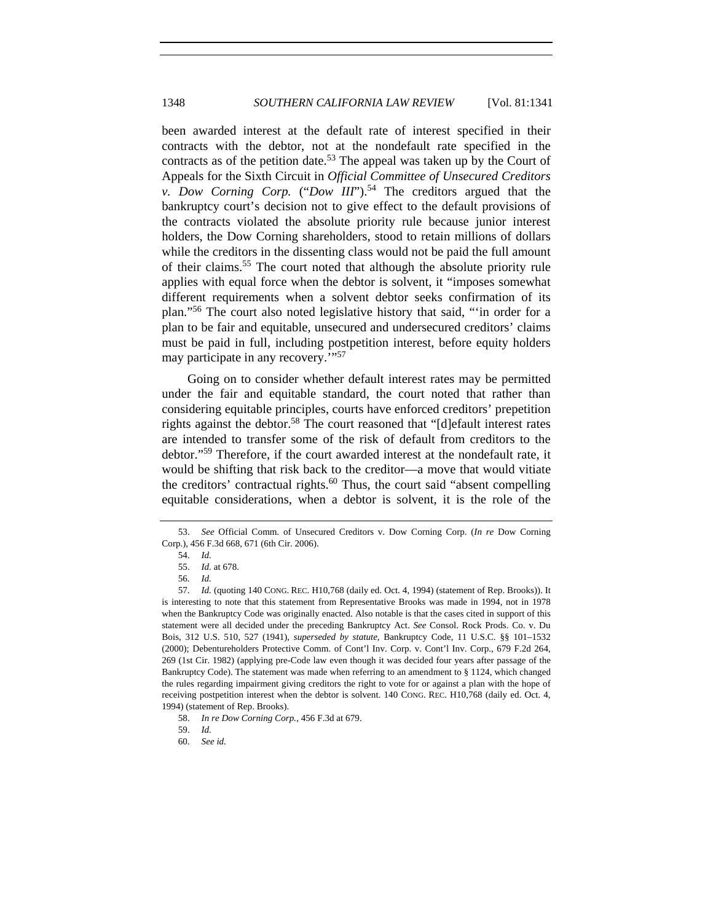been awarded interest at the default rate of interest specified in their contracts with the debtor, not at the nondefault rate specified in the contracts as of the petition date.<sup>53</sup> The appeal was taken up by the Court of Appeals for the Sixth Circuit in *Official Committee of Unsecured Creditors v. Dow Corning Corp.* ("*Dow III*").<sup>54</sup> The creditors argued that the bankruptcy court's decision not to give effect to the default provisions of the contracts violated the absolute priority rule because junior interest holders, the Dow Corning shareholders, stood to retain millions of dollars while the creditors in the dissenting class would not be paid the full amount of their claims.55 The court noted that although the absolute priority rule applies with equal force when the debtor is solvent, it "imposes somewhat different requirements when a solvent debtor seeks confirmation of its plan."56 The court also noted legislative history that said, "'in order for a plan to be fair and equitable, unsecured and undersecured creditors' claims must be paid in full, including postpetition interest, before equity holders may participate in any recovery."<sup>57</sup>

Going on to consider whether default interest rates may be permitted under the fair and equitable standard, the court noted that rather than considering equitable principles, courts have enforced creditors' prepetition rights against the debtor.<sup>58</sup> The court reasoned that "[d]efault interest rates are intended to transfer some of the risk of default from creditors to the debtor."59 Therefore, if the court awarded interest at the nondefault rate, it would be shifting that risk back to the creditor—a move that would vitiate the creditors' contractual rights. $60$  Thus, the court said "absent compelling equitable considerations, when a debtor is solvent, it is the role of the

<sup>53.</sup> *See* Official Comm. of Unsecured Creditors v. Dow Corning Corp. (*In re* Dow Corning Corp.), 456 F.3d 668, 671 (6th Cir. 2006).

<sup>54.</sup> *Id.*

<sup>55.</sup> *Id.* at 678.

<sup>56.</sup> *Id.*

<sup>57.</sup> *Id.* (quoting 140 CONG. REC. H10,768 (daily ed. Oct. 4, 1994) (statement of Rep. Brooks)). It is interesting to note that this statement from Representative Brooks was made in 1994, not in 1978 when the Bankruptcy Code was originally enacted. Also notable is that the cases cited in support of this statement were all decided under the preceding Bankruptcy Act. *See* Consol. Rock Prods. Co. v. Du Bois, 312 U.S. 510, 527 (1941), *superseded by statute*, Bankruptcy Code, 11 U.S.C. §§ 101–1532 (2000); Debentureholders Protective Comm. of Cont'l Inv. Corp. v. Cont'l Inv. Corp., 679 F.2d 264, 269 (1st Cir. 1982) (applying pre-Code law even though it was decided four years after passage of the Bankruptcy Code). The statement was made when referring to an amendment to § 1124, which changed the rules regarding impairment giving creditors the right to vote for or against a plan with the hope of receiving postpetition interest when the debtor is solvent. 140 CONG. REC. H10,768 (daily ed. Oct. 4, 1994) (statement of Rep. Brooks).

<sup>58.</sup> *In re Dow Corning Corp.*, 456 F.3d at 679.

<sup>59.</sup> *Id.*

<sup>60.</sup> *See id.*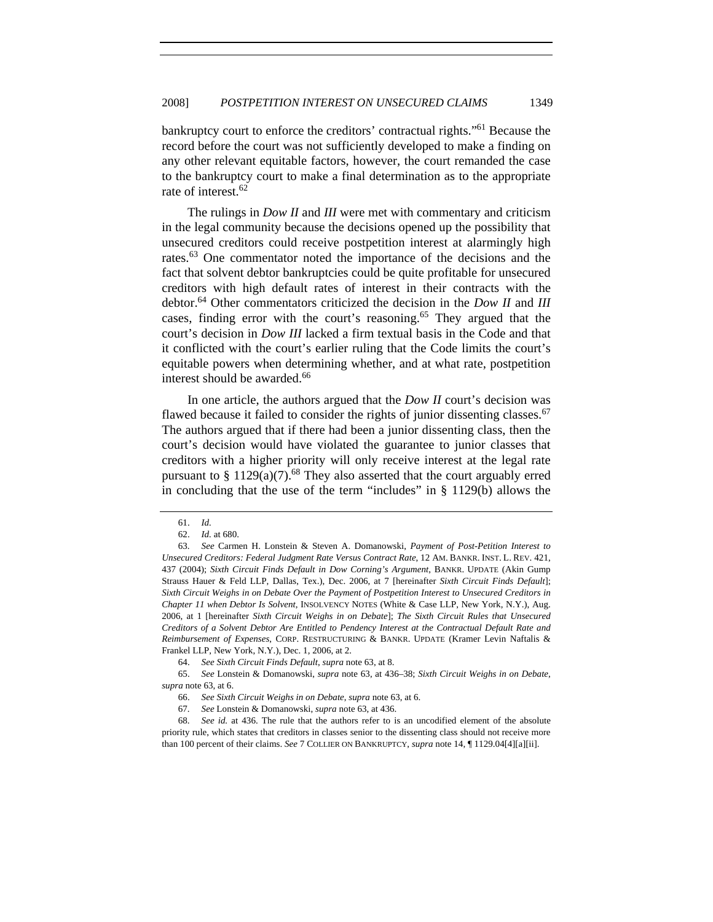bankruptcy court to enforce the creditors' contractual rights."61 Because the record before the court was not sufficiently developed to make a finding on any other relevant equitable factors, however, the court remanded the case to the bankruptcy court to make a final determination as to the appropriate rate of interest.<sup>62</sup>

The rulings in *Dow II* and *III* were met with commentary and criticism in the legal community because the decisions opened up the possibility that unsecured creditors could receive postpetition interest at alarmingly high rates.<sup>63</sup> One commentator noted the importance of the decisions and the fact that solvent debtor bankruptcies could be quite profitable for unsecured creditors with high default rates of interest in their contracts with the debtor.64 Other commentators criticized the decision in the *Dow II* and *III* cases, finding error with the court's reasoning.65 They argued that the court's decision in *Dow III* lacked a firm textual basis in the Code and that it conflicted with the court's earlier ruling that the Code limits the court's equitable powers when determining whether, and at what rate, postpetition interest should be awarded.<sup>66</sup>

In one article, the authors argued that the *Dow II* court's decision was flawed because it failed to consider the rights of junior dissenting classes.<sup>67</sup> The authors argued that if there had been a junior dissenting class, then the court's decision would have violated the guarantee to junior classes that creditors with a higher priority will only receive interest at the legal rate pursuant to  $\S 1129(a)(7)$ .<sup>68</sup> They also asserted that the court arguably erred in concluding that the use of the term "includes" in  $\S$  1129(b) allows the

<sup>61.</sup> *Id.*

<sup>62.</sup> *Id.* at 680.

<sup>63.</sup> *See* Carmen H. Lonstein & Steven A. Domanowski, *Payment of Post-Petition Interest to Unsecured Creditors: Federal Judgment Rate Versus Contract Rate*, 12 AM. BANKR. INST. L. REV. 421, 437 (2004); *Sixth Circuit Finds Default in Dow Corning's Argument*, BANKR. UPDATE (Akin Gump Strauss Hauer & Feld LLP, Dallas, Tex.), Dec. 2006, at 7 [hereinafter *Sixth Circuit Finds Default*]; *Sixth Circuit Weighs in on Debate Over the Payment of Postpetition Interest to Unsecured Creditors in Chapter 11 when Debtor Is Solvent*, INSOLVENCY NOTES (White & Case LLP, New York, N.Y.), Aug. 2006, at 1 [hereinafter *Sixth Circuit Weighs in on Debate*]; *The Sixth Circuit Rules that Unsecured Creditors of a Solvent Debtor Are Entitled to Pendency Interest at the Contractual Default Rate and Reimbursement of Expenses*, CORP. RESTRUCTURING & BANKR. UPDATE (Kramer Levin Naftalis & Frankel LLP, New York, N.Y.), Dec. 1, 2006, at 2.

<sup>64.</sup> *See Sixth Circuit Finds Default*, *supra* note 63, at 8.

<sup>65.</sup> *See* Lonstein & Domanowski, *supra* note 63, at 436–38; *Sixth Circuit Weighs in on Debate*, *supra* note 63, at 6.

<sup>66.</sup> *See Sixth Circuit Weighs in on Debate*, *supra* note 63, at 6.

<sup>67.</sup> *See* Lonstein & Domanowski, *supra* note 63, at 436.

<sup>68.</sup> *See id.* at 436. The rule that the authors refer to is an uncodified element of the absolute priority rule, which states that creditors in classes senior to the dissenting class should not receive more than 100 percent of their claims. *See* 7 COLLIER ON BANKRUPTCY, *supra* note 14, ¶ 1129.04[4][a][ii].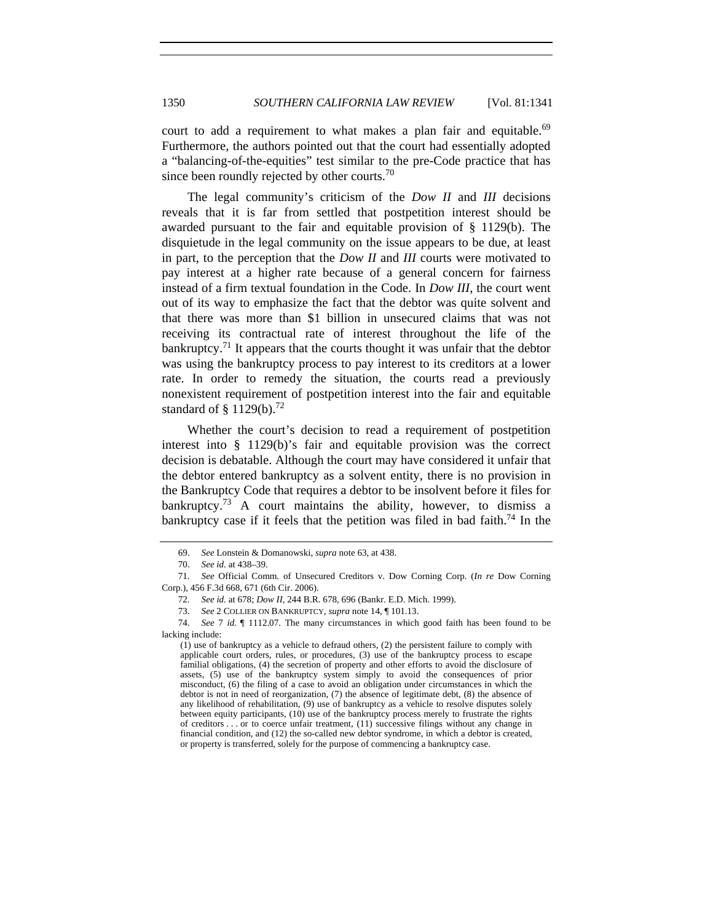court to add a requirement to what makes a plan fair and equitable.<sup>69</sup> Furthermore, the authors pointed out that the court had essentially adopted a "balancing-of-the-equities" test similar to the pre-Code practice that has since been roundly rejected by other courts.<sup>70</sup>

The legal community's criticism of the *Dow II* and *III* decisions reveals that it is far from settled that postpetition interest should be awarded pursuant to the fair and equitable provision of § 1129(b). The disquietude in the legal community on the issue appears to be due, at least in part, to the perception that the *Dow II* and *III* courts were motivated to pay interest at a higher rate because of a general concern for fairness instead of a firm textual foundation in the Code. In *Dow III*, the court went out of its way to emphasize the fact that the debtor was quite solvent and that there was more than \$1 billion in unsecured claims that was not receiving its contractual rate of interest throughout the life of the bankruptcy.<sup>71</sup> It appears that the courts thought it was unfair that the debtor was using the bankruptcy process to pay interest to its creditors at a lower rate. In order to remedy the situation, the courts read a previously nonexistent requirement of postpetition interest into the fair and equitable standard of  $\S$  1129(b).<sup>72</sup>

Whether the court's decision to read a requirement of postpetition interest into § 1129(b)'s fair and equitable provision was the correct decision is debatable. Although the court may have considered it unfair that the debtor entered bankruptcy as a solvent entity, there is no provision in the Bankruptcy Code that requires a debtor to be insolvent before it files for bankruptcy.<sup>73</sup> A court maintains the ability, however, to dismiss a bankruptcy case if it feels that the petition was filed in bad faith.<sup>74</sup> In the

<sup>69.</sup> *See* Lonstein & Domanowski, *supra* note 63, at 438.

<sup>70.</sup> *See id.* at 438–39.

<sup>71.</sup> *See* Official Comm. of Unsecured Creditors v. Dow Corning Corp. (*In re* Dow Corning Corp.), 456 F.3d 668, 671 (6th Cir. 2006).

<sup>72.</sup> *See id.* at 678; *Dow II*, 244 B.R. 678, 696 (Bankr. E.D. Mich. 1999).

<sup>73.</sup> *See* 2 COLLIER ON BANKRUPTCY, *supra* note 14, ¶ 101.13.

<sup>74.</sup> *See* 7 *id.* ¶ 1112.07. The many circumstances in which good faith has been found to be lacking include:

<sup>(1)</sup> use of bankruptcy as a vehicle to defraud others, (2) the persistent failure to comply with applicable court orders, rules, or procedures, (3) use of the bankruptcy process to escape familial obligations, (4) the secretion of property and other efforts to avoid the disclosure of assets, (5) use of the bankruptcy system simply to avoid the consequences of prior misconduct, (6) the filing of a case to avoid an obligation under circumstances in which the debtor is not in need of reorganization, (7) the absence of legitimate debt, (8) the absence of any likelihood of rehabilitation, (9) use of bankruptcy as a vehicle to resolve disputes solely between equity participants, (10) use of the bankruptcy process merely to frustrate the rights of creditors . . . or to coerce unfair treatment, (11) successive filings without any change in financial condition, and (12) the so-called new debtor syndrome, in which a debtor is created, or property is transferred, solely for the purpose of commencing a bankruptcy case.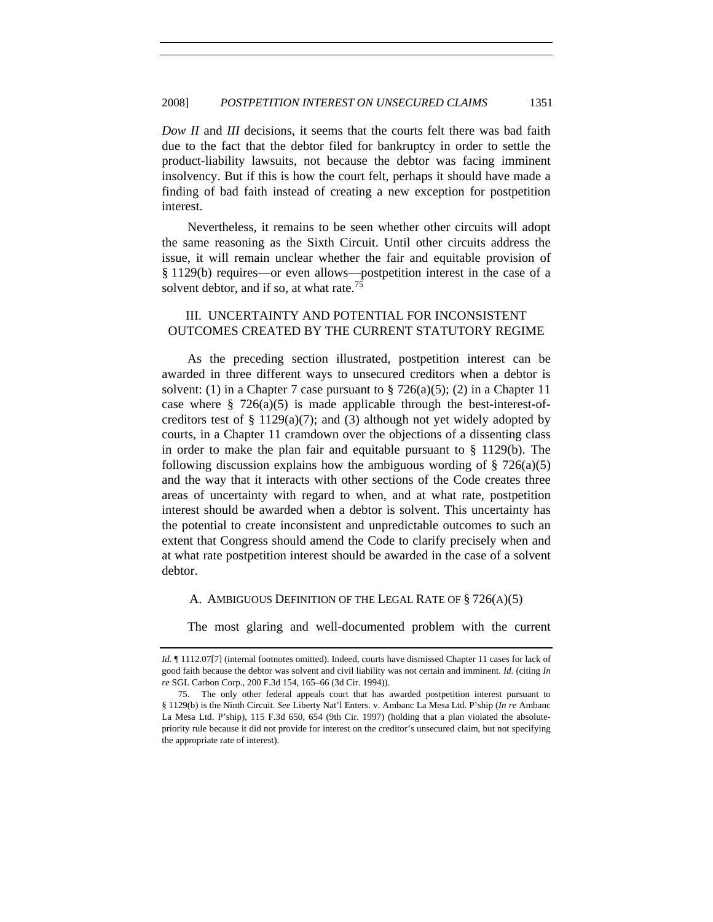*Dow II* and *III* decisions, it seems that the courts felt there was bad faith due to the fact that the debtor filed for bankruptcy in order to settle the product-liability lawsuits, not because the debtor was facing imminent insolvency. But if this is how the court felt, perhaps it should have made a finding of bad faith instead of creating a new exception for postpetition interest.

Nevertheless, it remains to be seen whether other circuits will adopt the same reasoning as the Sixth Circuit. Until other circuits address the issue, it will remain unclear whether the fair and equitable provision of § 1129(b) requires—or even allows—postpetition interest in the case of a solvent debtor, and if so, at what rate.<sup>75</sup>

# III. UNCERTAINTY AND POTENTIAL FOR INCONSISTENT OUTCOMES CREATED BY THE CURRENT STATUTORY REGIME

As the preceding section illustrated, postpetition interest can be awarded in three different ways to unsecured creditors when a debtor is solvent: (1) in a Chapter 7 case pursuant to  $\S 726(a)(5)$ ; (2) in a Chapter 11 case where  $\S$  726(a)(5) is made applicable through the best-interest-ofcreditors test of § 1129(a)(7); and (3) although not yet widely adopted by courts, in a Chapter 11 cramdown over the objections of a dissenting class in order to make the plan fair and equitable pursuant to § 1129(b). The following discussion explains how the ambiguous wording of  $\S 726(a)(5)$ and the way that it interacts with other sections of the Code creates three areas of uncertainty with regard to when, and at what rate, postpetition interest should be awarded when a debtor is solvent. This uncertainty has the potential to create inconsistent and unpredictable outcomes to such an extent that Congress should amend the Code to clarify precisely when and at what rate postpetition interest should be awarded in the case of a solvent debtor.

#### A. AMBIGUOUS DEFINITION OF THE LEGAL RATE OF § 726(A)(5)

The most glaring and well-documented problem with the current

Id.  $\P$  1112.07[7] (internal footnotes omitted). Indeed, courts have dismissed Chapter 11 cases for lack of good faith because the debtor was solvent and civil liability was not certain and imminent. *Id.* (citing *In re* SGL Carbon Corp., 200 F.3d 154, 165–66 (3d Cir. 1994)).

 <sup>75.</sup> The only other federal appeals court that has awarded postpetition interest pursuant to § 1129(b) is the Ninth Circuit. *See* Liberty Nat'l Enters. v. Ambanc La Mesa Ltd. P'ship (*In re* Ambanc La Mesa Ltd. P'ship), 115 F.3d 650, 654 (9th Cir. 1997) (holding that a plan violated the absolutepriority rule because it did not provide for interest on the creditor's unsecured claim, but not specifying the appropriate rate of interest).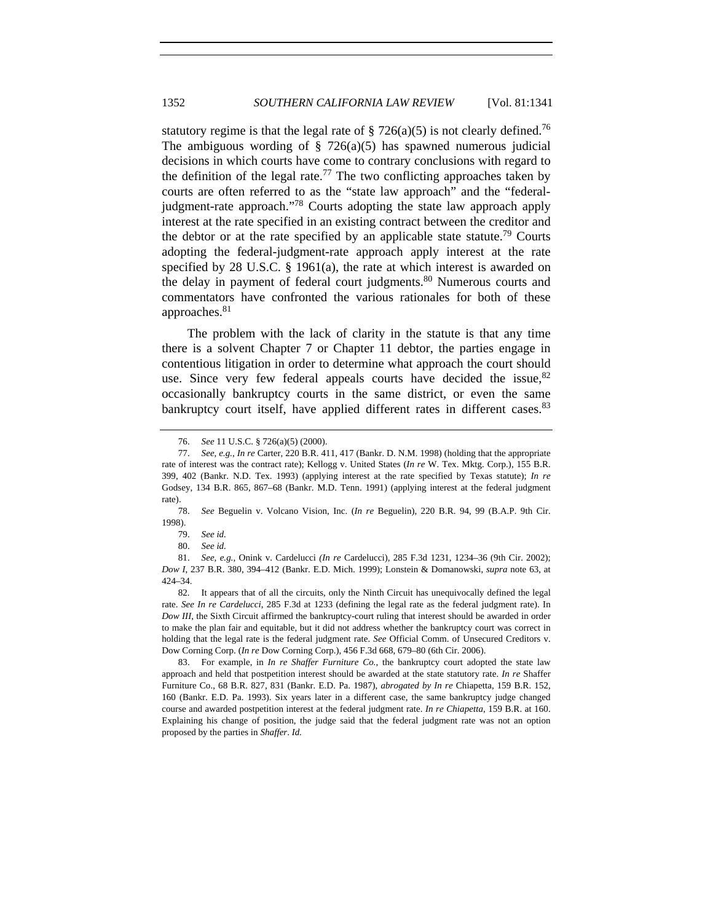statutory regime is that the legal rate of  $\S 726(a)(5)$  is not clearly defined.<sup>76</sup> The ambiguous wording of  $\S$  726(a)(5) has spawned numerous judicial decisions in which courts have come to contrary conclusions with regard to the definition of the legal rate.<sup>77</sup> The two conflicting approaches taken by courts are often referred to as the "state law approach" and the "federaljudgment-rate approach."78 Courts adopting the state law approach apply interest at the rate specified in an existing contract between the creditor and the debtor or at the rate specified by an applicable state statute.<sup>79</sup> Courts adopting the federal-judgment-rate approach apply interest at the rate specified by 28 U.S.C. § 1961(a), the rate at which interest is awarded on the delay in payment of federal court judgments.<sup>80</sup> Numerous courts and commentators have confronted the various rationales for both of these approaches.<sup>81</sup>

The problem with the lack of clarity in the statute is that any time there is a solvent Chapter 7 or Chapter 11 debtor, the parties engage in contentious litigation in order to determine what approach the court should use. Since very few federal appeals courts have decided the issue,  $82$ occasionally bankruptcy courts in the same district, or even the same bankruptcy court itself, have applied different rates in different cases.<sup>83</sup>

<sup>76.</sup> *See* 11 U.S.C. § 726(a)(5) (2000).

<sup>77.</sup> *See, e.g.*, *In re* Carter, 220 B.R. 411, 417 (Bankr. D. N.M. 1998) (holding that the appropriate rate of interest was the contract rate); Kellogg v. United States (*In re* W. Tex. Mktg. Corp.), 155 B.R. 399, 402 (Bankr. N.D. Tex. 1993) (applying interest at the rate specified by Texas statute); *In re* Godsey, 134 B.R. 865, 867–68 (Bankr. M.D. Tenn. 1991) (applying interest at the federal judgment rate).

<sup>78.</sup> *See* Beguelin v. Volcano Vision, Inc. (*In re* Beguelin), 220 B.R. 94, 99 (B.A.P. 9th Cir. 1998).

 <sup>79.</sup> *See id.*

<sup>80.</sup> *See id.*

<sup>81.</sup> *See, e.g.*, Onink v. Cardelucci *(In re* Cardelucci)*,* 285 F.3d 1231, 1234–36 (9th Cir. 2002); *Dow I*, 237 B.R. 380, 394–412 (Bankr. E.D. Mich. 1999); Lonstein & Domanowski, *supra* note 63, at 424–34.

 <sup>82.</sup> It appears that of all the circuits, only the Ninth Circuit has unequivocally defined the legal rate. *See In re Cardelucci*, 285 F.3d at 1233 (defining the legal rate as the federal judgment rate). In *Dow III*, the Sixth Circuit affirmed the bankruptcy-court ruling that interest should be awarded in order to make the plan fair and equitable, but it did not address whether the bankruptcy court was correct in holding that the legal rate is the federal judgment rate. *See* Official Comm. of Unsecured Creditors v. Dow Corning Corp. (*In re* Dow Corning Corp.), 456 F.3d 668, 679–80 (6th Cir. 2006).

<sup>83.</sup> For example, in *In re Shaffer Furniture Co.*, the bankruptcy court adopted the state law approach and held that postpetition interest should be awarded at the state statutory rate. *In re* Shaffer Furniture Co., 68 B.R. 827, 831 (Bankr. E.D. Pa. 1987), *abrogated by In re* Chiapetta, 159 B.R. 152, 160 (Bankr. E.D. Pa. 1993). Six years later in a different case, the same bankruptcy judge changed course and awarded postpetition interest at the federal judgment rate. *In re Chiapetta*, 159 B.R. at 160. Explaining his change of position, the judge said that the federal judgment rate was not an option proposed by the parties in *Shaffer*. *Id.*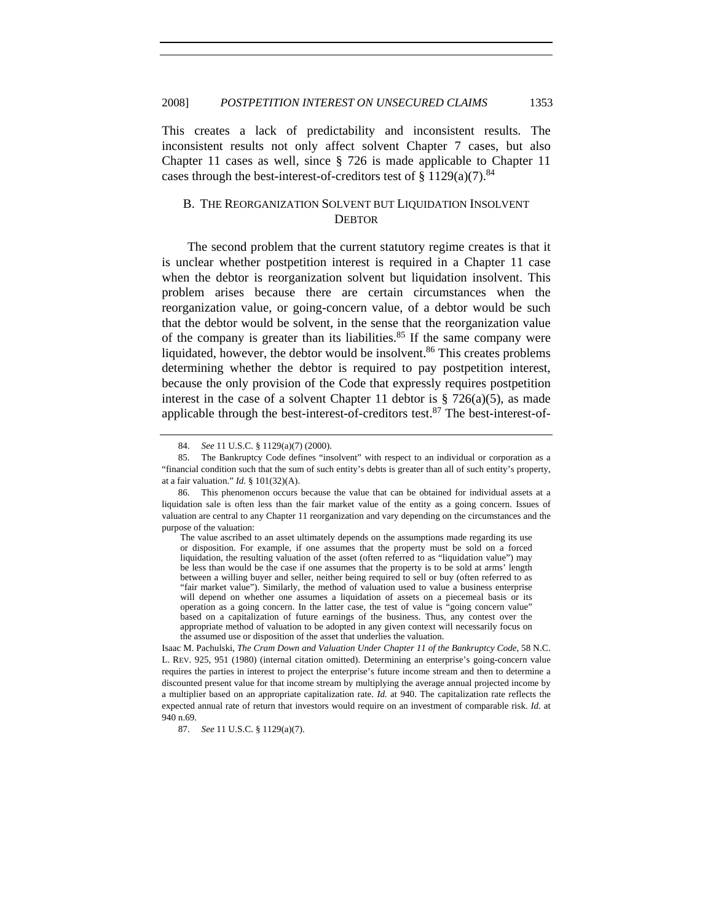This creates a lack of predictability and inconsistent results. The inconsistent results not only affect solvent Chapter 7 cases, but also Chapter 11 cases as well, since § 726 is made applicable to Chapter 11 cases through the best-interest-of-creditors test of § 1129(a)(7).<sup>84</sup>

# B. THE REORGANIZATION SOLVENT BUT LIQUIDATION INSOLVENT **DEBTOR**

The second problem that the current statutory regime creates is that it is unclear whether postpetition interest is required in a Chapter 11 case when the debtor is reorganization solvent but liquidation insolvent. This problem arises because there are certain circumstances when the reorganization value, or going-concern value, of a debtor would be such that the debtor would be solvent, in the sense that the reorganization value of the company is greater than its liabilities.<sup>85</sup> If the same company were liquidated, however, the debtor would be insolvent. $86$  This creates problems determining whether the debtor is required to pay postpetition interest, because the only provision of the Code that expressly requires postpetition interest in the case of a solvent Chapter 11 debtor is  $\S$  726(a)(5), as made applicable through the best-interest-of-creditors test. $87$  The best-interest-of-

<sup>84.</sup> *See* 11 U.S.C. § 1129(a)(7) (2000).

 <sup>85.</sup> The Bankruptcy Code defines "insolvent" with respect to an individual or corporation as a "financial condition such that the sum of such entity's debts is greater than all of such entity's property, at a fair valuation." *Id.* § 101(32)(A).

 <sup>86.</sup> This phenomenon occurs because the value that can be obtained for individual assets at a liquidation sale is often less than the fair market value of the entity as a going concern. Issues of valuation are central to any Chapter 11 reorganization and vary depending on the circumstances and the purpose of the valuation:

The value ascribed to an asset ultimately depends on the assumptions made regarding its use or disposition. For example, if one assumes that the property must be sold on a forced liquidation, the resulting valuation of the asset (often referred to as "liquidation value") may be less than would be the case if one assumes that the property is to be sold at arms' length between a willing buyer and seller, neither being required to sell or buy (often referred to as "fair market value"). Similarly, the method of valuation used to value a business enterprise will depend on whether one assumes a liquidation of assets on a piecemeal basis or its operation as a going concern. In the latter case, the test of value is "going concern value" based on a capitalization of future earnings of the business. Thus, any contest over the appropriate method of valuation to be adopted in any given context will necessarily focus on the assumed use or disposition of the asset that underlies the valuation.

Isaac M. Pachulski, *The Cram Down and Valuation Under Chapter 11 of the Bankruptcy Code*, 58 N.C. L. REV. 925, 951 (1980) (internal citation omitted). Determining an enterprise's going-concern value requires the parties in interest to project the enterprise's future income stream and then to determine a discounted present value for that income stream by multiplying the average annual projected income by a multiplier based on an appropriate capitalization rate. *Id.* at 940. The capitalization rate reflects the expected annual rate of return that investors would require on an investment of comparable risk. *Id.* at 940 n.69.

<sup>87.</sup> *See* 11 U.S.C. § 1129(a)(7).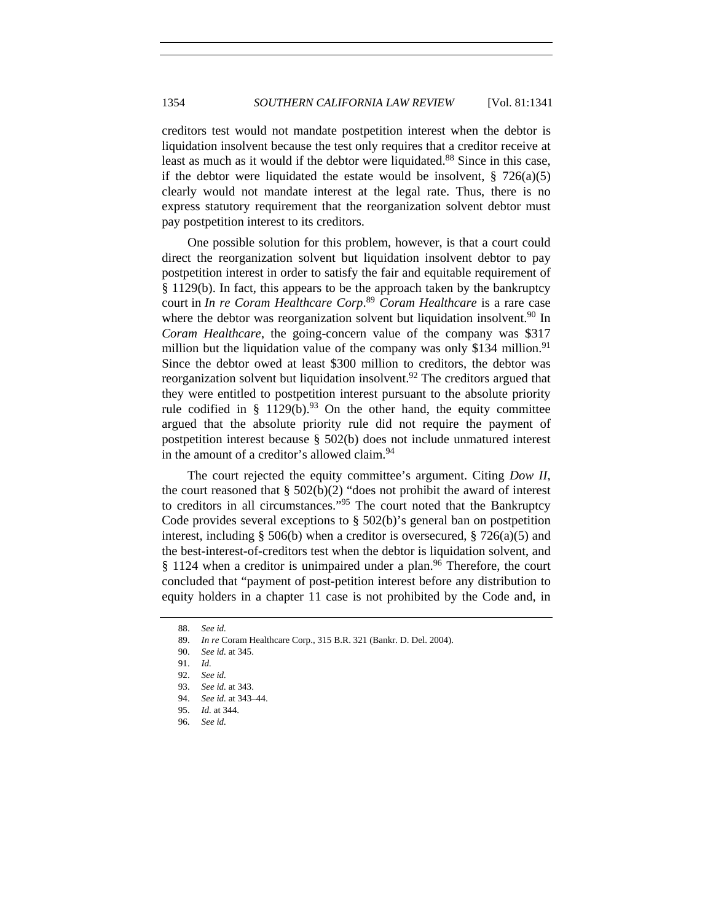creditors test would not mandate postpetition interest when the debtor is liquidation insolvent because the test only requires that a creditor receive at least as much as it would if the debtor were liquidated.<sup>88</sup> Since in this case, if the debtor were liquidated the estate would be insolvent,  $\S$  726(a)(5) clearly would not mandate interest at the legal rate. Thus, there is no express statutory requirement that the reorganization solvent debtor must pay postpetition interest to its creditors.

One possible solution for this problem, however, is that a court could direct the reorganization solvent but liquidation insolvent debtor to pay postpetition interest in order to satisfy the fair and equitable requirement of § 1129(b). In fact, this appears to be the approach taken by the bankruptcy court in *In re Coram Healthcare Corp*. <sup>89</sup> *Coram Healthcare* is a rare case where the debtor was reorganization solvent but liquidation insolvent.<sup>90</sup> In *Coram Healthcare*, the going-concern value of the company was \$317 million but the liquidation value of the company was only \$134 million.<sup>91</sup> Since the debtor owed at least \$300 million to creditors, the debtor was reorganization solvent but liquidation insolvent.<sup>92</sup> The creditors argued that they were entitled to postpetition interest pursuant to the absolute priority rule codified in § 1129(b).<sup>93</sup> On the other hand, the equity committee argued that the absolute priority rule did not require the payment of postpetition interest because § 502(b) does not include unmatured interest in the amount of a creditor's allowed claim.<sup>94</sup>

The court rejected the equity committee's argument. Citing *Dow II*, the court reasoned that  $\S$  502(b)(2) "does not prohibit the award of interest to creditors in all circumstances."95 The court noted that the Bankruptcy Code provides several exceptions to  $\S$  502(b)'s general ban on postpetition interest, including § 506(b) when a creditor is oversecured, § 726(a)(5) and the best-interest-of-creditors test when the debtor is liquidation solvent, and  $§$  1124 when a creditor is unimpaired under a plan.<sup>96</sup> Therefore, the court concluded that "payment of post-petition interest before any distribution to equity holders in a chapter 11 case is not prohibited by the Code and, in

<sup>88.</sup> *See id.*

 <sup>89.</sup> *In re* Coram Healthcare Corp., 315 B.R. 321 (Bankr. D. Del. 2004).

<sup>90.</sup> *See id.* at 345.

<sup>91.</sup> *Id.*

<sup>92.</sup> *See id.*

<sup>93.</sup> *See id.* at 343.

<sup>94.</sup> *See id.* at 343–44.

<sup>95.</sup> *Id.* at 344.

<sup>96.</sup> *See id.*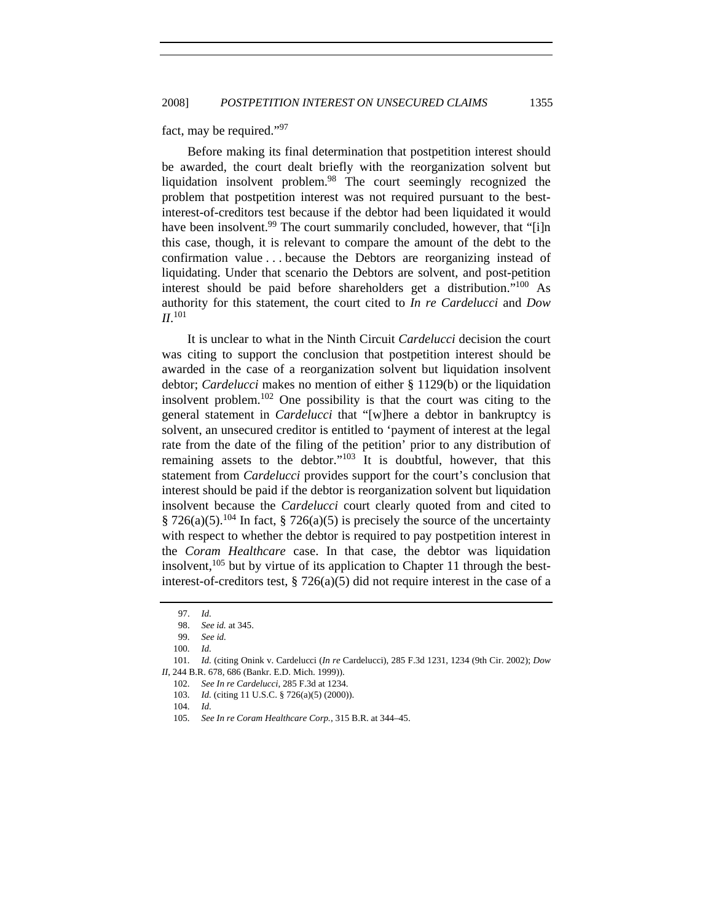fact, may be required."97

Before making its final determination that postpetition interest should be awarded, the court dealt briefly with the reorganization solvent but liquidation insolvent problem.98 The court seemingly recognized the problem that postpetition interest was not required pursuant to the bestinterest-of-creditors test because if the debtor had been liquidated it would have been insolvent.<sup>99</sup> The court summarily concluded, however, that "[i]n this case, though, it is relevant to compare the amount of the debt to the confirmation value . . . because the Debtors are reorganizing instead of liquidating. Under that scenario the Debtors are solvent, and post-petition interest should be paid before shareholders get a distribution."100 As authority for this statement, the court cited to *In re Cardelucci* and *Dow II*. 101

It is unclear to what in the Ninth Circuit *Cardelucci* decision the court was citing to support the conclusion that postpetition interest should be awarded in the case of a reorganization solvent but liquidation insolvent debtor; *Cardelucci* makes no mention of either § 1129(b) or the liquidation insolvent problem.<sup>102</sup> One possibility is that the court was citing to the general statement in *Cardelucci* that "[w]here a debtor in bankruptcy is solvent, an unsecured creditor is entitled to 'payment of interest at the legal rate from the date of the filing of the petition' prior to any distribution of remaining assets to the debtor." $103$  It is doubtful, however, that this statement from *Cardelucci* provides support for the court's conclusion that interest should be paid if the debtor is reorganization solvent but liquidation insolvent because the *Cardelucci* court clearly quoted from and cited to § 726(a)(5).<sup>104</sup> In fact, § 726(a)(5) is precisely the source of the uncertainty with respect to whether the debtor is required to pay postpetition interest in the *Coram Healthcare* case. In that case, the debtor was liquidation insolvent,  $105$  but by virtue of its application to Chapter 11 through the bestinterest-of-creditors test,  $\S 726(a)(5)$  did not require interest in the case of a

101. *Id.* (citing Onink v. Cardelucci (*In re* Cardelucci), 285 F.3d 1231, 1234 (9th Cir. 2002); *Dow II*, 244 B.R. 678, 686 (Bankr. E.D. Mich. 1999)).

<sup>97.</sup> *Id.*

<sup>98.</sup> *See id.* at 345.

<sup>99.</sup> *See id.*

<sup>100.</sup> *Id.*

<sup>102.</sup> *See In re Cardelucci*, 285 F.3d at 1234.

<sup>103.</sup> *Id.* (citing 11 U.S.C. § 726(a)(5) (2000)).

<sup>104.</sup> *Id.*

<sup>105.</sup> *See In re Coram Healthcare Corp.*, 315 B.R. at 344–45.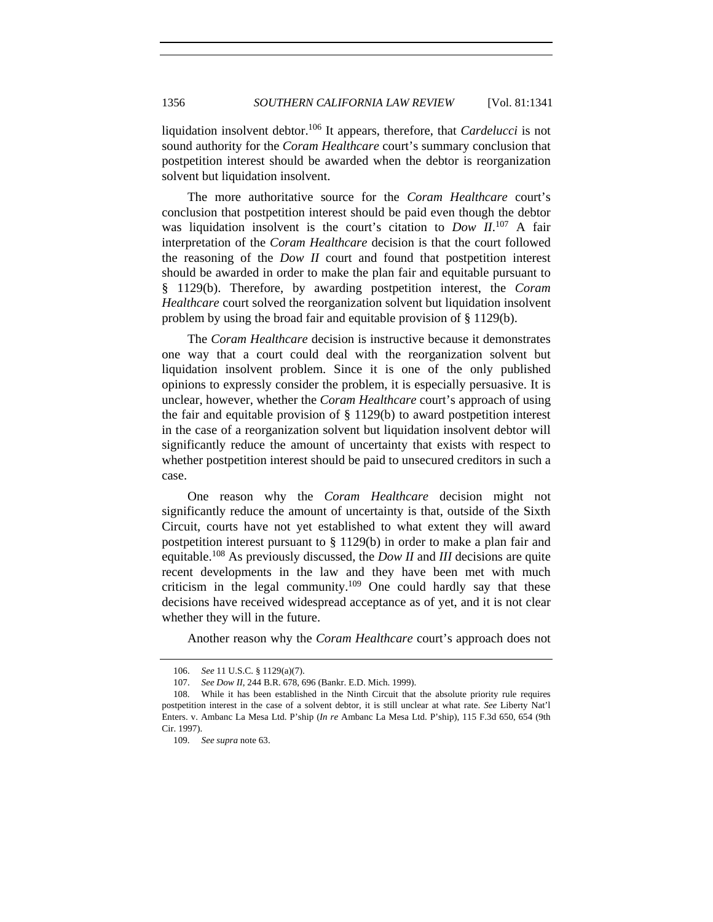liquidation insolvent debtor.106 It appears, therefore, that *Cardelucci* is not sound authority for the *Coram Healthcare* court's summary conclusion that postpetition interest should be awarded when the debtor is reorganization solvent but liquidation insolvent.

The more authoritative source for the *Coram Healthcare* court's conclusion that postpetition interest should be paid even though the debtor was liquidation insolvent is the court's citation to *Dow II*. 107 A fair interpretation of the *Coram Healthcare* decision is that the court followed the reasoning of the *Dow II* court and found that postpetition interest should be awarded in order to make the plan fair and equitable pursuant to § 1129(b). Therefore, by awarding postpetition interest, the *Coram Healthcare* court solved the reorganization solvent but liquidation insolvent problem by using the broad fair and equitable provision of § 1129(b).

The *Coram Healthcare* decision is instructive because it demonstrates one way that a court could deal with the reorganization solvent but liquidation insolvent problem. Since it is one of the only published opinions to expressly consider the problem, it is especially persuasive. It is unclear, however, whether the *Coram Healthcare* court's approach of using the fair and equitable provision of  $\S$  1129(b) to award postpetition interest in the case of a reorganization solvent but liquidation insolvent debtor will significantly reduce the amount of uncertainty that exists with respect to whether postpetition interest should be paid to unsecured creditors in such a case.

One reason why the *Coram Healthcare* decision might not significantly reduce the amount of uncertainty is that, outside of the Sixth Circuit, courts have not yet established to what extent they will award postpetition interest pursuant to § 1129(b) in order to make a plan fair and equitable.108 As previously discussed, the *Dow II* and *III* decisions are quite recent developments in the law and they have been met with much criticism in the legal community.<sup>109</sup> One could hardly say that these decisions have received widespread acceptance as of yet, and it is not clear whether they will in the future.

Another reason why the *Coram Healthcare* court's approach does not

<sup>106.</sup> *See* 11 U.S.C. § 1129(a)(7).

<sup>107.</sup> *See Dow II*, 244 B.R. 678, 696 (Bankr. E.D. Mich. 1999).

 <sup>108.</sup> While it has been established in the Ninth Circuit that the absolute priority rule requires postpetition interest in the case of a solvent debtor, it is still unclear at what rate. *See* Liberty Nat'l Enters. v. Ambanc La Mesa Ltd. P'ship (*In re* Ambanc La Mesa Ltd. P'ship), 115 F.3d 650, 654 (9th Cir. 1997).

<sup>109.</sup> *See supra* note 63.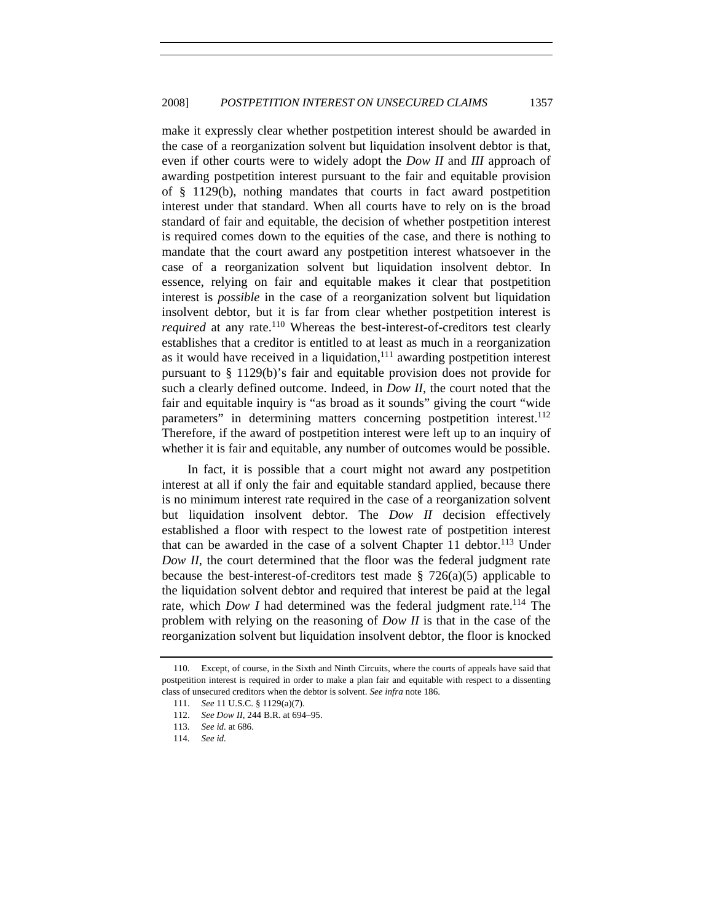make it expressly clear whether postpetition interest should be awarded in the case of a reorganization solvent but liquidation insolvent debtor is that, even if other courts were to widely adopt the *Dow II* and *III* approach of awarding postpetition interest pursuant to the fair and equitable provision of § 1129(b), nothing mandates that courts in fact award postpetition interest under that standard. When all courts have to rely on is the broad standard of fair and equitable, the decision of whether postpetition interest is required comes down to the equities of the case, and there is nothing to mandate that the court award any postpetition interest whatsoever in the case of a reorganization solvent but liquidation insolvent debtor. In essence, relying on fair and equitable makes it clear that postpetition interest is *possible* in the case of a reorganization solvent but liquidation insolvent debtor, but it is far from clear whether postpetition interest is *required* at any rate.<sup>110</sup> Whereas the best-interest-of-creditors test clearly establishes that a creditor is entitled to at least as much in a reorganization as it would have received in a liquidation, $111$  awarding postpetition interest pursuant to § 1129(b)'s fair and equitable provision does not provide for such a clearly defined outcome. Indeed, in *Dow II*, the court noted that the fair and equitable inquiry is "as broad as it sounds" giving the court "wide parameters" in determining matters concerning postpetition interest.<sup>112</sup> Therefore, if the award of postpetition interest were left up to an inquiry of whether it is fair and equitable, any number of outcomes would be possible.

In fact, it is possible that a court might not award any postpetition interest at all if only the fair and equitable standard applied, because there is no minimum interest rate required in the case of a reorganization solvent but liquidation insolvent debtor. The *Dow II* decision effectively established a floor with respect to the lowest rate of postpetition interest that can be awarded in the case of a solvent Chapter  $11$  debtor.<sup>113</sup> Under *Dow II*, the court determined that the floor was the federal judgment rate because the best-interest-of-creditors test made  $\S$  726(a)(5) applicable to the liquidation solvent debtor and required that interest be paid at the legal rate, which *Dow I* had determined was the federal judgment rate.<sup>114</sup> The problem with relying on the reasoning of *Dow II* is that in the case of the reorganization solvent but liquidation insolvent debtor, the floor is knocked

 <sup>110.</sup> Except, of course, in the Sixth and Ninth Circuits, where the courts of appeals have said that postpetition interest is required in order to make a plan fair and equitable with respect to a dissenting class of unsecured creditors when the debtor is solvent. *See infra* note 186.

<sup>111.</sup> *See* 11 U.S.C. § 1129(a)(7).

<sup>112.</sup> *See Dow II*, 244 B.R. at 694–95.

<sup>113.</sup> *See id.* at 686.

<sup>114.</sup> *See id.*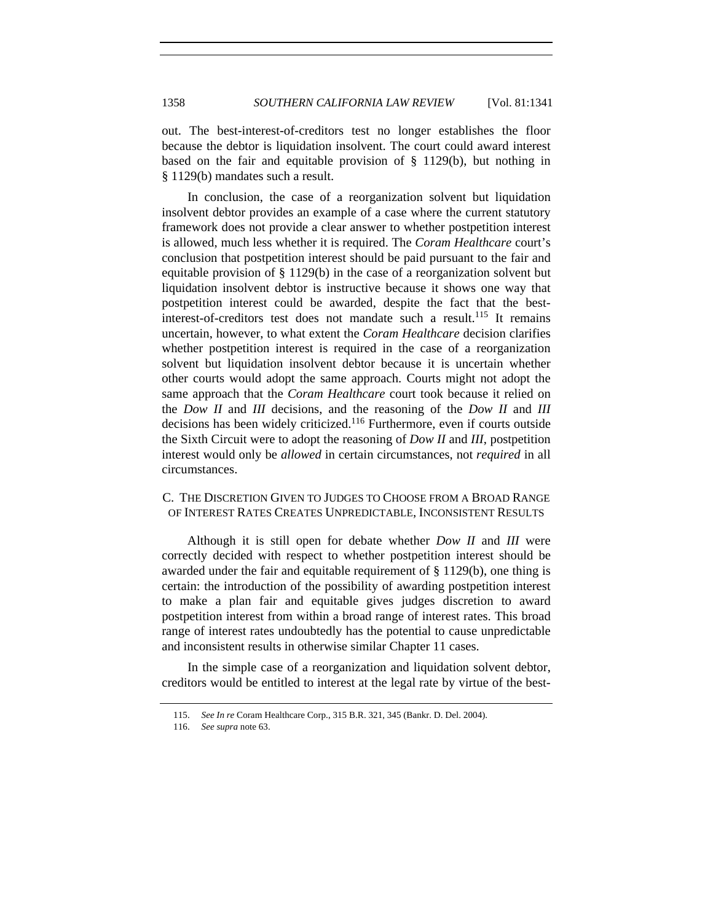out. The best-interest-of-creditors test no longer establishes the floor because the debtor is liquidation insolvent. The court could award interest based on the fair and equitable provision of § 1129(b), but nothing in § 1129(b) mandates such a result.

In conclusion, the case of a reorganization solvent but liquidation insolvent debtor provides an example of a case where the current statutory framework does not provide a clear answer to whether postpetition interest is allowed, much less whether it is required. The *Coram Healthcare* court's conclusion that postpetition interest should be paid pursuant to the fair and equitable provision of § 1129(b) in the case of a reorganization solvent but liquidation insolvent debtor is instructive because it shows one way that postpetition interest could be awarded, despite the fact that the bestinterest-of-creditors test does not mandate such a result.<sup>115</sup> It remains uncertain, however, to what extent the *Coram Healthcare* decision clarifies whether postpetition interest is required in the case of a reorganization solvent but liquidation insolvent debtor because it is uncertain whether other courts would adopt the same approach. Courts might not adopt the same approach that the *Coram Healthcare* court took because it relied on the *Dow II* and *III* decisions, and the reasoning of the *Dow II* and *III* decisions has been widely criticized.116 Furthermore, even if courts outside the Sixth Circuit were to adopt the reasoning of *Dow II* and *III*, postpetition interest would only be *allowed* in certain circumstances, not *required* in all circumstances.

# C. THE DISCRETION GIVEN TO JUDGES TO CHOOSE FROM A BROAD RANGE OF INTEREST RATES CREATES UNPREDICTABLE, INCONSISTENT RESULTS

Although it is still open for debate whether *Dow II* and *III* were correctly decided with respect to whether postpetition interest should be awarded under the fair and equitable requirement of  $\S$  1129(b), one thing is certain: the introduction of the possibility of awarding postpetition interest to make a plan fair and equitable gives judges discretion to award postpetition interest from within a broad range of interest rates. This broad range of interest rates undoubtedly has the potential to cause unpredictable and inconsistent results in otherwise similar Chapter 11 cases.

In the simple case of a reorganization and liquidation solvent debtor, creditors would be entitled to interest at the legal rate by virtue of the best-

<sup>115.</sup> *See In re* Coram Healthcare Corp., 315 B.R. 321, 345 (Bankr. D. Del. 2004).

<sup>116.</sup> *See supra* note 63.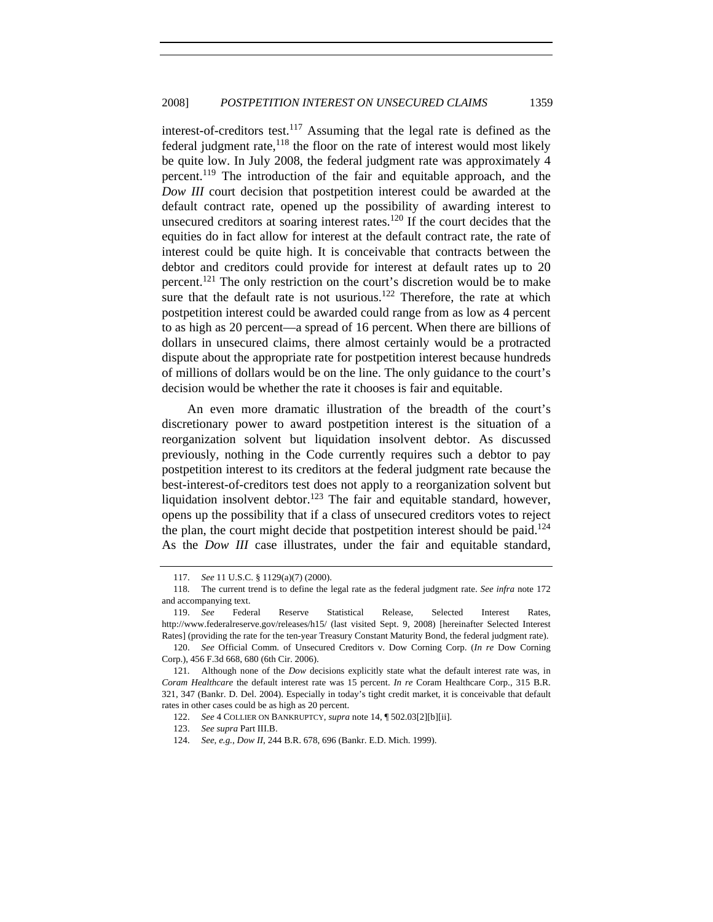interest-of-creditors test.<sup>117</sup> Assuming that the legal rate is defined as the federal judgment rate, $118$  the floor on the rate of interest would most likely be quite low. In July 2008, the federal judgment rate was approximately 4 percent.119 The introduction of the fair and equitable approach, and the *Dow III* court decision that postpetition interest could be awarded at the default contract rate, opened up the possibility of awarding interest to unsecured creditors at soaring interest rates.120 If the court decides that the equities do in fact allow for interest at the default contract rate, the rate of interest could be quite high. It is conceivable that contracts between the debtor and creditors could provide for interest at default rates up to 20 percent.121 The only restriction on the court's discretion would be to make sure that the default rate is not usurious.<sup>122</sup> Therefore, the rate at which postpetition interest could be awarded could range from as low as 4 percent to as high as 20 percent—a spread of 16 percent. When there are billions of dollars in unsecured claims, there almost certainly would be a protracted dispute about the appropriate rate for postpetition interest because hundreds of millions of dollars would be on the line. The only guidance to the court's decision would be whether the rate it chooses is fair and equitable.

An even more dramatic illustration of the breadth of the court's discretionary power to award postpetition interest is the situation of a reorganization solvent but liquidation insolvent debtor. As discussed previously, nothing in the Code currently requires such a debtor to pay postpetition interest to its creditors at the federal judgment rate because the best-interest-of-creditors test does not apply to a reorganization solvent but liquidation insolvent debtor.<sup>123</sup> The fair and equitable standard, however, opens up the possibility that if a class of unsecured creditors votes to reject the plan, the court might decide that postpetition interest should be paid.<sup>124</sup> As the *Dow III* case illustrates, under the fair and equitable standard,

<sup>117.</sup> *See* 11 U.S.C. § 1129(a)(7) (2000).

 <sup>118.</sup> The current trend is to define the legal rate as the federal judgment rate. *See infra* note 172 and accompanying text.

<sup>119.</sup> *See* Federal Reserve Statistical Release, Selected Interest Rates, http://www.federalreserve.gov/releases/h15/ (last visited Sept. 9, 2008) [hereinafter Selected Interest Rates] (providing the rate for the ten-year Treasury Constant Maturity Bond, the federal judgment rate).

<sup>120.</sup> *See* Official Comm. of Unsecured Creditors v. Dow Corning Corp. (*In re* Dow Corning Corp.), 456 F.3d 668, 680 (6th Cir. 2006).

 <sup>121.</sup> Although none of the *Dow* decisions explicitly state what the default interest rate was, in *Coram Healthcare* the default interest rate was 15 percent. *In re* Coram Healthcare Corp., 315 B.R. 321, 347 (Bankr. D. Del. 2004). Especially in today's tight credit market, it is conceivable that default rates in other cases could be as high as 20 percent.

<sup>122.</sup> *See* 4 COLLIER ON BANKRUPTCY, *supra* note 14, ¶ 502.03[2][b][ii].

<sup>123.</sup> *See supra* Part III.B.

<sup>124.</sup> *See, e.g.*, *Dow II*, 244 B.R. 678, 696 (Bankr. E.D. Mich. 1999).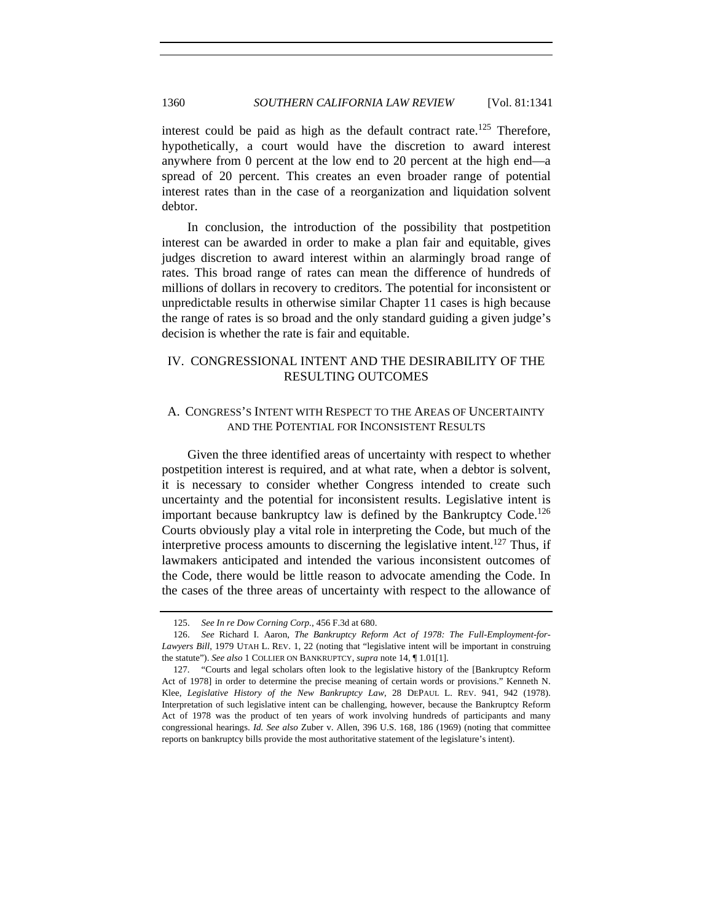interest could be paid as high as the default contract rate.<sup>125</sup> Therefore, hypothetically, a court would have the discretion to award interest anywhere from 0 percent at the low end to 20 percent at the high end—a spread of 20 percent. This creates an even broader range of potential interest rates than in the case of a reorganization and liquidation solvent debtor.

In conclusion, the introduction of the possibility that postpetition interest can be awarded in order to make a plan fair and equitable, gives judges discretion to award interest within an alarmingly broad range of rates. This broad range of rates can mean the difference of hundreds of millions of dollars in recovery to creditors. The potential for inconsistent or unpredictable results in otherwise similar Chapter 11 cases is high because the range of rates is so broad and the only standard guiding a given judge's decision is whether the rate is fair and equitable.

# IV. CONGRESSIONAL INTENT AND THE DESIRABILITY OF THE RESULTING OUTCOMES

## A. CONGRESS'S INTENT WITH RESPECT TO THE AREAS OF UNCERTAINTY AND THE POTENTIAL FOR INCONSISTENT RESULTS

Given the three identified areas of uncertainty with respect to whether postpetition interest is required, and at what rate, when a debtor is solvent, it is necessary to consider whether Congress intended to create such uncertainty and the potential for inconsistent results. Legislative intent is important because bankruptcy law is defined by the Bankruptcy Code.<sup>126</sup> Courts obviously play a vital role in interpreting the Code, but much of the interpretive process amounts to discerning the legislative intent.<sup>127</sup> Thus, if lawmakers anticipated and intended the various inconsistent outcomes of the Code, there would be little reason to advocate amending the Code. In the cases of the three areas of uncertainty with respect to the allowance of

<sup>125.</sup> *See In re Dow Corning Corp.*, 456 F.3d at 680.

<sup>126.</sup> *See* Richard I. Aaron, *The Bankruptcy Reform Act of 1978: The Full-Employment-for-Lawyers Bill*, 1979 UTAH L. REV. 1, 22 (noting that "legislative intent will be important in construing the statute"). *See also* 1 COLLIER ON BANKRUPTCY, *supra* note 14, ¶ 1.01[1].

 <sup>127. &</sup>quot;Courts and legal scholars often look to the legislative history of the [Bankruptcy Reform Act of 1978] in order to determine the precise meaning of certain words or provisions." Kenneth N. Klee, *Legislative History of the New Bankruptcy Law*, 28 DEPAUL L. REV. 941, 942 (1978). Interpretation of such legislative intent can be challenging, however, because the Bankruptcy Reform Act of 1978 was the product of ten years of work involving hundreds of participants and many congressional hearings. *Id. See also* Zuber v. Allen, 396 U.S. 168, 186 (1969) (noting that committee reports on bankruptcy bills provide the most authoritative statement of the legislature's intent).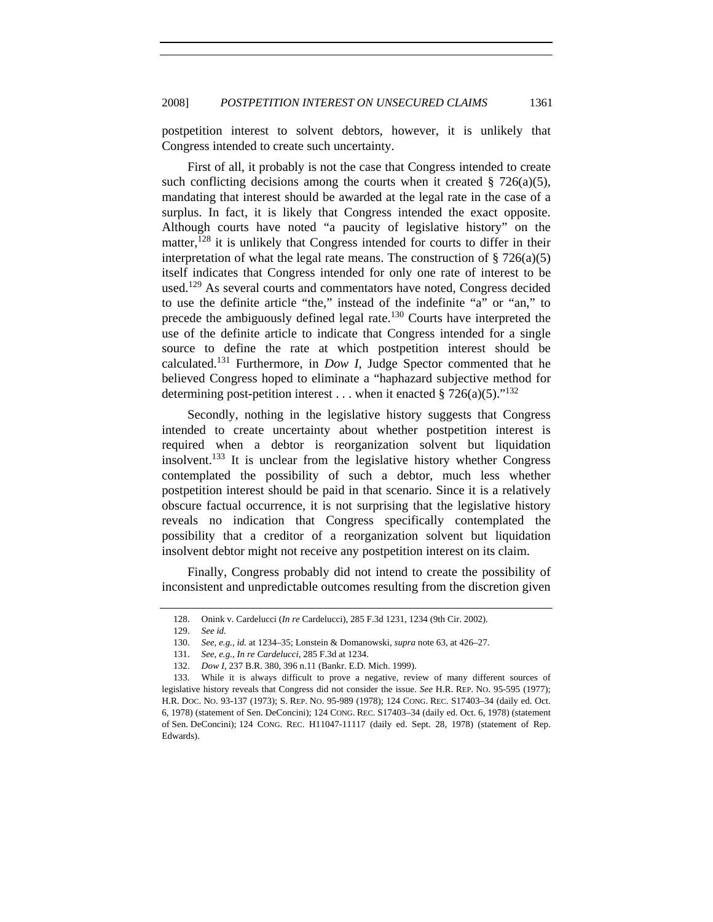postpetition interest to solvent debtors, however, it is unlikely that Congress intended to create such uncertainty.

First of all, it probably is not the case that Congress intended to create such conflicting decisions among the courts when it created  $\S$  726(a)(5), mandating that interest should be awarded at the legal rate in the case of a surplus. In fact, it is likely that Congress intended the exact opposite. Although courts have noted "a paucity of legislative history" on the matter,  $128$  it is unlikely that Congress intended for courts to differ in their interpretation of what the legal rate means. The construction of  $\S 726(a)(5)$ itself indicates that Congress intended for only one rate of interest to be used.<sup>129</sup> As several courts and commentators have noted, Congress decided to use the definite article "the," instead of the indefinite "a" or "an," to precede the ambiguously defined legal rate.<sup>130</sup> Courts have interpreted the use of the definite article to indicate that Congress intended for a single source to define the rate at which postpetition interest should be calculated.131 Furthermore, in *Dow I*, Judge Spector commented that he believed Congress hoped to eliminate a "haphazard subjective method for determining post-petition interest ... when it enacted § 726(a)(5).<sup>"132</sup>

Secondly, nothing in the legislative history suggests that Congress intended to create uncertainty about whether postpetition interest is required when a debtor is reorganization solvent but liquidation insolvent.133 It is unclear from the legislative history whether Congress contemplated the possibility of such a debtor, much less whether postpetition interest should be paid in that scenario. Since it is a relatively obscure factual occurrence, it is not surprising that the legislative history reveals no indication that Congress specifically contemplated the possibility that a creditor of a reorganization solvent but liquidation insolvent debtor might not receive any postpetition interest on its claim.

Finally, Congress probably did not intend to create the possibility of inconsistent and unpredictable outcomes resulting from the discretion given

<sup>128.</sup> Onink v. Cardelucci (*In re* Cardelucci), 285 F.3d 1231, 1234 (9th Cir. 2002).

<sup>129.</sup> *See id.*

<sup>130.</sup> *See, e.g.*, *id.* at 1234–35; Lonstein & Domanowski, *supra* note 63, at 426–27.

<sup>131.</sup> *See, e.g.*, *In re Cardelucci*, 285 F.3d at 1234.

 <sup>132.</sup> *Dow I*, 237 B.R. 380, 396 n.11 (Bankr. E.D. Mich. 1999).

 <sup>133.</sup> While it is always difficult to prove a negative, review of many different sources of legislative history reveals that Congress did not consider the issue. *See* H.R. REP. NO. 95-595 (1977); H.R. DOC. NO. 93-137 (1973); S. REP. NO. 95-989 (1978); 124 CONG. REC. S17403–34 (daily ed. Oct. 6, 1978) (statement of Sen. DeConcini); 124 CONG. REC. S17403–34 (daily ed. Oct. 6, 1978) (statement of Sen. DeConcini); 124 CONG. REC. H11047-11117 (daily ed. Sept. 28, 1978) (statement of Rep. Edwards).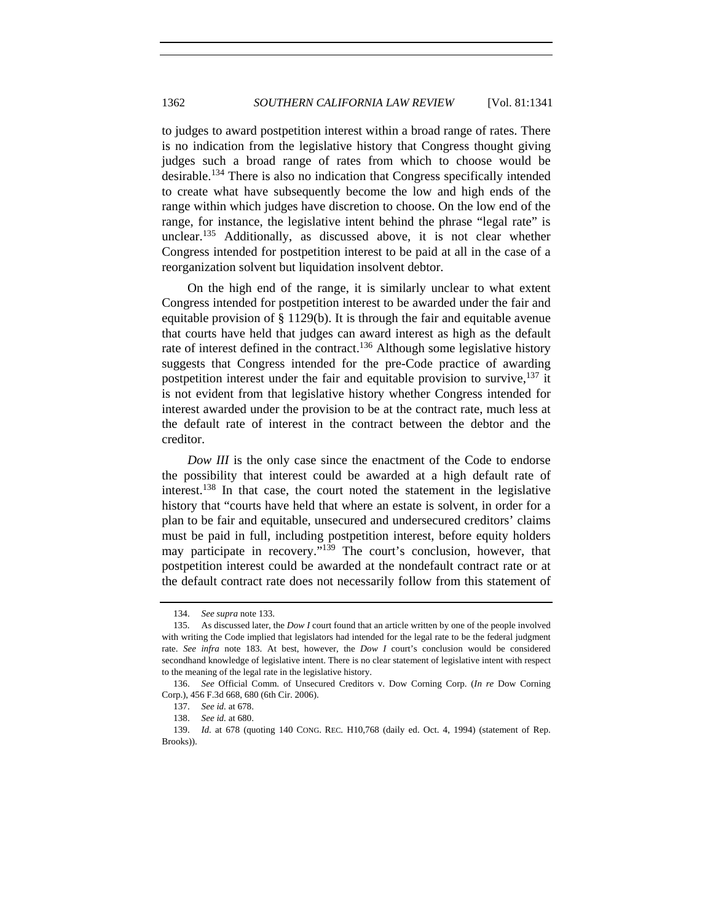to judges to award postpetition interest within a broad range of rates. There is no indication from the legislative history that Congress thought giving judges such a broad range of rates from which to choose would be desirable.134 There is also no indication that Congress specifically intended to create what have subsequently become the low and high ends of the range within which judges have discretion to choose. On the low end of the range, for instance, the legislative intent behind the phrase "legal rate" is unclear.<sup>135</sup> Additionally, as discussed above, it is not clear whether Congress intended for postpetition interest to be paid at all in the case of a reorganization solvent but liquidation insolvent debtor.

On the high end of the range, it is similarly unclear to what extent Congress intended for postpetition interest to be awarded under the fair and equitable provision of § 1129(b). It is through the fair and equitable avenue that courts have held that judges can award interest as high as the default rate of interest defined in the contract.<sup>136</sup> Although some legislative history suggests that Congress intended for the pre-Code practice of awarding postpetition interest under the fair and equitable provision to survive,  $137$  it is not evident from that legislative history whether Congress intended for interest awarded under the provision to be at the contract rate, much less at the default rate of interest in the contract between the debtor and the creditor.

*Dow III* is the only case since the enactment of the Code to endorse the possibility that interest could be awarded at a high default rate of interest.138 In that case, the court noted the statement in the legislative history that "courts have held that where an estate is solvent, in order for a plan to be fair and equitable, unsecured and undersecured creditors' claims must be paid in full, including postpetition interest, before equity holders may participate in recovery."<sup>139</sup> The court's conclusion, however, that postpetition interest could be awarded at the nondefault contract rate or at the default contract rate does not necessarily follow from this statement of

<sup>134.</sup> *See supra* note 133.

 <sup>135.</sup> As discussed later, the *Dow I* court found that an article written by one of the people involved with writing the Code implied that legislators had intended for the legal rate to be the federal judgment rate. *See infra* note 183. At best, however, the *Dow I* court's conclusion would be considered secondhand knowledge of legislative intent. There is no clear statement of legislative intent with respect to the meaning of the legal rate in the legislative history.

<sup>136.</sup> *See* Official Comm. of Unsecured Creditors v. Dow Corning Corp. (*In re* Dow Corning Corp.), 456 F.3d 668, 680 (6th Cir. 2006).

<sup>137.</sup> *See id.* at 678.

<sup>138.</sup> *See id.* at 680.

<sup>139.</sup> *Id.* at 678 (quoting 140 CONG. REC. H10,768 (daily ed. Oct. 4, 1994) (statement of Rep. Brooks)).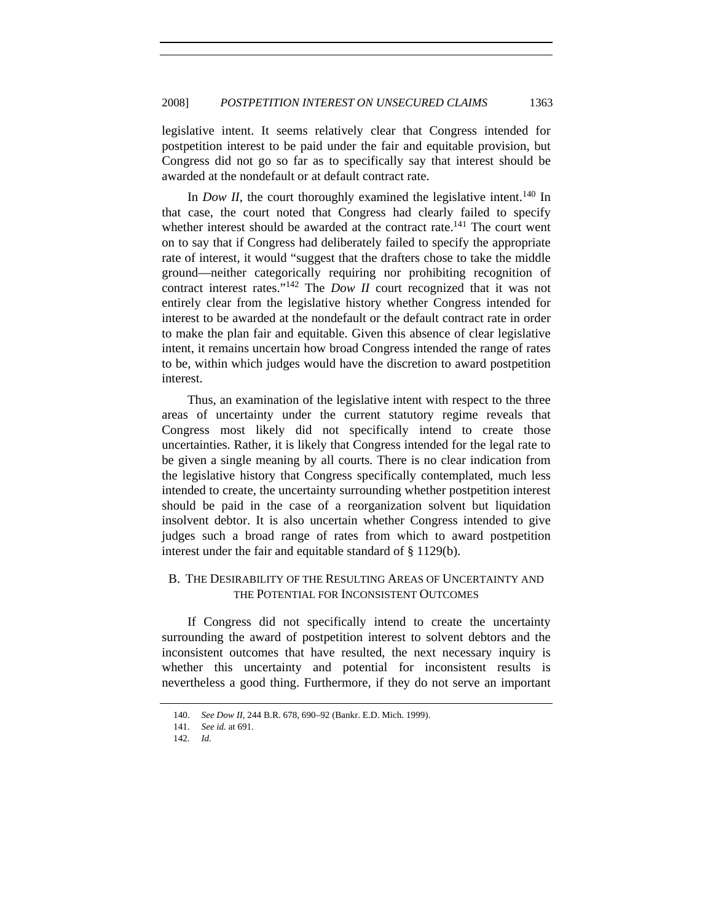legislative intent. It seems relatively clear that Congress intended for postpetition interest to be paid under the fair and equitable provision, but Congress did not go so far as to specifically say that interest should be awarded at the nondefault or at default contract rate.

In *Dow II*, the court thoroughly examined the legislative intent.<sup>140</sup> In that case, the court noted that Congress had clearly failed to specify whether interest should be awarded at the contract rate.<sup>141</sup> The court went on to say that if Congress had deliberately failed to specify the appropriate rate of interest, it would "suggest that the drafters chose to take the middle ground—neither categorically requiring nor prohibiting recognition of contract interest rates."142 The *Dow II* court recognized that it was not entirely clear from the legislative history whether Congress intended for interest to be awarded at the nondefault or the default contract rate in order to make the plan fair and equitable. Given this absence of clear legislative intent, it remains uncertain how broad Congress intended the range of rates to be, within which judges would have the discretion to award postpetition interest.

Thus, an examination of the legislative intent with respect to the three areas of uncertainty under the current statutory regime reveals that Congress most likely did not specifically intend to create those uncertainties. Rather, it is likely that Congress intended for the legal rate to be given a single meaning by all courts. There is no clear indication from the legislative history that Congress specifically contemplated, much less intended to create, the uncertainty surrounding whether postpetition interest should be paid in the case of a reorganization solvent but liquidation insolvent debtor. It is also uncertain whether Congress intended to give judges such a broad range of rates from which to award postpetition interest under the fair and equitable standard of § 1129(b).

# B. THE DESIRABILITY OF THE RESULTING AREAS OF UNCERTAINTY AND THE POTENTIAL FOR INCONSISTENT OUTCOMES

If Congress did not specifically intend to create the uncertainty surrounding the award of postpetition interest to solvent debtors and the inconsistent outcomes that have resulted, the next necessary inquiry is whether this uncertainty and potential for inconsistent results is nevertheless a good thing. Furthermore, if they do not serve an important

<sup>140.</sup> *See Dow II*, 244 B.R. 678, 690–92 (Bankr. E.D. Mich. 1999).

<sup>141.</sup> *See id.* at 691.

<sup>142.</sup> *Id.*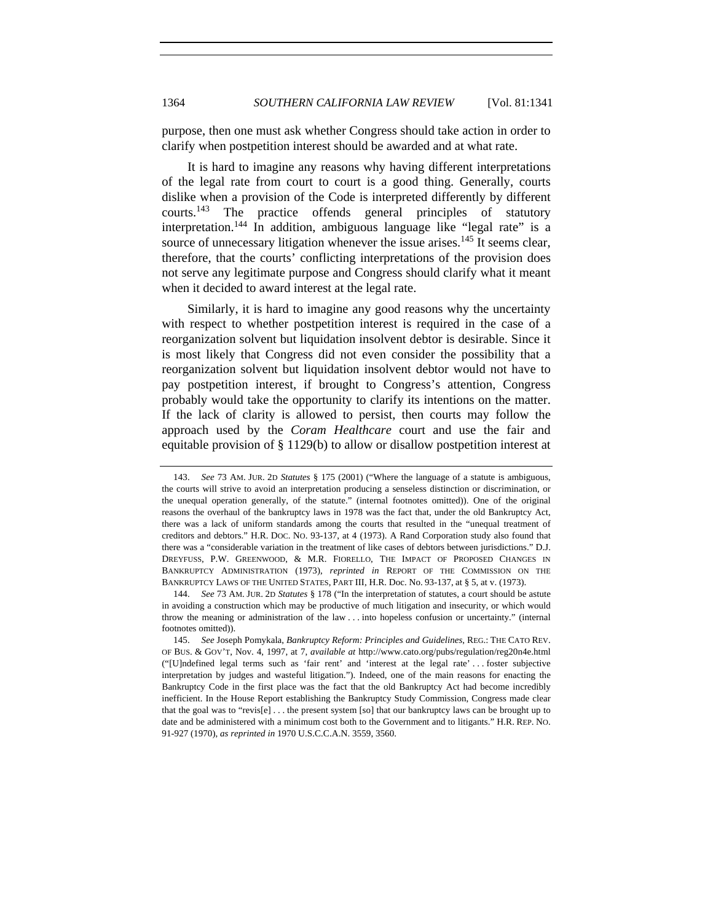purpose, then one must ask whether Congress should take action in order to clarify when postpetition interest should be awarded and at what rate.

It is hard to imagine any reasons why having different interpretations of the legal rate from court to court is a good thing. Generally, courts dislike when a provision of the Code is interpreted differently by different courts.143 The practice offends general principles of statutory interpretation.144 In addition, ambiguous language like "legal rate" is a source of unnecessary litigation whenever the issue arises.<sup>145</sup> It seems clear, therefore, that the courts' conflicting interpretations of the provision does not serve any legitimate purpose and Congress should clarify what it meant when it decided to award interest at the legal rate.

Similarly, it is hard to imagine any good reasons why the uncertainty with respect to whether postpetition interest is required in the case of a reorganization solvent but liquidation insolvent debtor is desirable. Since it is most likely that Congress did not even consider the possibility that a reorganization solvent but liquidation insolvent debtor would not have to pay postpetition interest, if brought to Congress's attention, Congress probably would take the opportunity to clarify its intentions on the matter. If the lack of clarity is allowed to persist, then courts may follow the approach used by the *Coram Healthcare* court and use the fair and equitable provision of § 1129(b) to allow or disallow postpetition interest at

<sup>143.</sup> *See* 73 AM. JUR. 2D *Statutes* § 175 (2001) ("Where the language of a statute is ambiguous, the courts will strive to avoid an interpretation producing a senseless distinction or discrimination, or the unequal operation generally, of the statute." (internal footnotes omitted)). One of the original reasons the overhaul of the bankruptcy laws in 1978 was the fact that, under the old Bankruptcy Act, there was a lack of uniform standards among the courts that resulted in the "unequal treatment of creditors and debtors." H.R. DOC. NO. 93-137, at 4 (1973). A Rand Corporation study also found that there was a "considerable variation in the treatment of like cases of debtors between jurisdictions." D.J. DREYFUSS, P.W. GREENWOOD, & M.R. FIORELLO, THE IMPACT OF PROPOSED CHANGES IN BANKRUPTCY ADMINISTRATION (1973), *reprinted in* REPORT OF THE COMMISSION ON THE BANKRUPTCY LAWS OF THE UNITED STATES, PART III, H.R. Doc. No. 93-137, at § 5, at v. (1973).

 <sup>144.</sup> *See* 73 AM. JUR. 2D *Statutes* § 178 ("In the interpretation of statutes, a court should be astute in avoiding a construction which may be productive of much litigation and insecurity, or which would throw the meaning or administration of the law . . . into hopeless confusion or uncertainty." (internal footnotes omitted)).

<sup>145.</sup> *See* Joseph Pomykala, *Bankruptcy Reform: Principles and Guidelines*, REG.: THE CATO REV. OF BUS. & GOV'T, Nov. 4, 1997, at 7, *available at* http://www.cato.org/pubs/regulation/reg20n4e.html ("[U]ndefined legal terms such as 'fair rent' and 'interest at the legal rate' . . . foster subjective interpretation by judges and wasteful litigation."). Indeed, one of the main reasons for enacting the Bankruptcy Code in the first place was the fact that the old Bankruptcy Act had become incredibly inefficient. In the House Report establishing the Bankruptcy Study Commission, Congress made clear that the goal was to "revis $[e]$ ... the present system [so] that our bankruptcy laws can be brought up to date and be administered with a minimum cost both to the Government and to litigants." H.R. REP. NO. 91-927 (1970), *as reprinted in* 1970 U.S.C.C.A.N. 3559, 3560.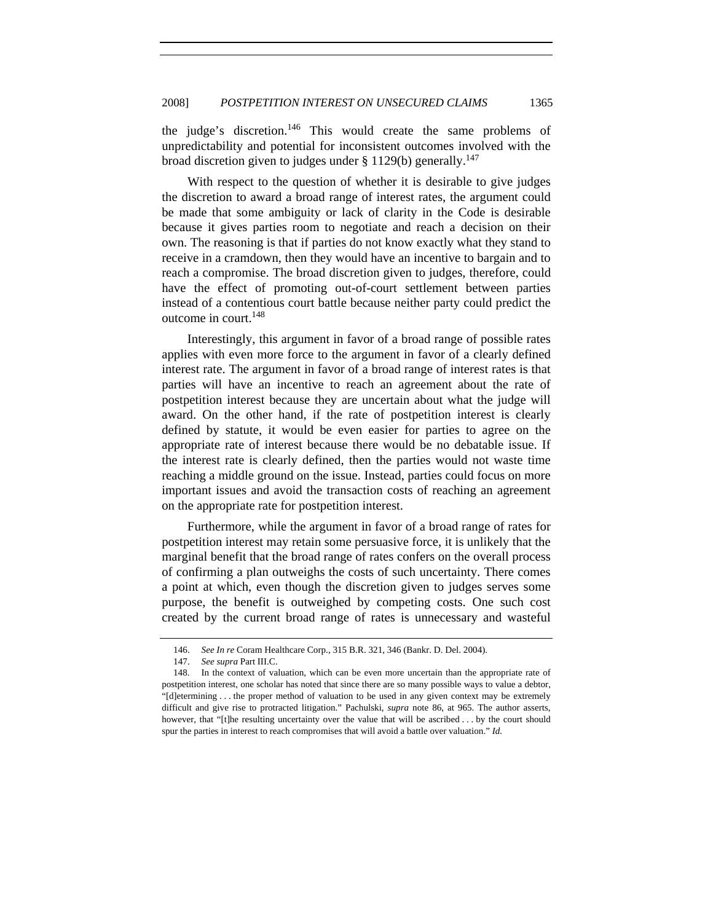the judge's discretion.<sup>146</sup> This would create the same problems of unpredictability and potential for inconsistent outcomes involved with the broad discretion given to judges under  $\S 1129(b)$  generally.<sup>147</sup>

With respect to the question of whether it is desirable to give judges the discretion to award a broad range of interest rates, the argument could be made that some ambiguity or lack of clarity in the Code is desirable because it gives parties room to negotiate and reach a decision on their own. The reasoning is that if parties do not know exactly what they stand to receive in a cramdown, then they would have an incentive to bargain and to reach a compromise. The broad discretion given to judges, therefore, could have the effect of promoting out-of-court settlement between parties instead of a contentious court battle because neither party could predict the outcome in court. $148$ 

Interestingly, this argument in favor of a broad range of possible rates applies with even more force to the argument in favor of a clearly defined interest rate. The argument in favor of a broad range of interest rates is that parties will have an incentive to reach an agreement about the rate of postpetition interest because they are uncertain about what the judge will award. On the other hand, if the rate of postpetition interest is clearly defined by statute, it would be even easier for parties to agree on the appropriate rate of interest because there would be no debatable issue. If the interest rate is clearly defined, then the parties would not waste time reaching a middle ground on the issue. Instead, parties could focus on more important issues and avoid the transaction costs of reaching an agreement on the appropriate rate for postpetition interest.

Furthermore, while the argument in favor of a broad range of rates for postpetition interest may retain some persuasive force, it is unlikely that the marginal benefit that the broad range of rates confers on the overall process of confirming a plan outweighs the costs of such uncertainty. There comes a point at which, even though the discretion given to judges serves some purpose, the benefit is outweighed by competing costs. One such cost created by the current broad range of rates is unnecessary and wasteful

<sup>146.</sup> *See In re* Coram Healthcare Corp., 315 B.R. 321, 346 (Bankr. D. Del. 2004).

<sup>147.</sup> *See supra* Part III.C.

 <sup>148.</sup> In the context of valuation, which can be even more uncertain than the appropriate rate of postpetition interest, one scholar has noted that since there are so many possible ways to value a debtor, "[d]etermining . . . the proper method of valuation to be used in any given context may be extremely difficult and give rise to protracted litigation." Pachulski, *supra* note 86, at 965. The author asserts, however, that "[t]he resulting uncertainty over the value that will be ascribed . . . by the court should spur the parties in interest to reach compromises that will avoid a battle over valuation." *Id.*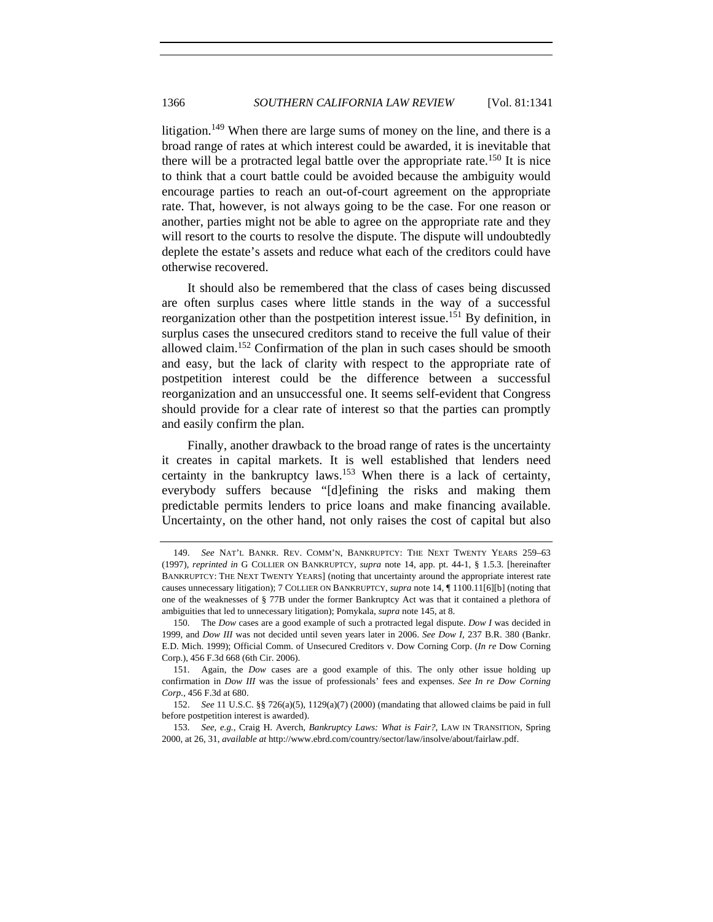litigation.<sup>149</sup> When there are large sums of money on the line, and there is a broad range of rates at which interest could be awarded, it is inevitable that there will be a protracted legal battle over the appropriate rate.<sup>150</sup> It is nice to think that a court battle could be avoided because the ambiguity would encourage parties to reach an out-of-court agreement on the appropriate rate. That, however, is not always going to be the case. For one reason or another, parties might not be able to agree on the appropriate rate and they will resort to the courts to resolve the dispute. The dispute will undoubtedly deplete the estate's assets and reduce what each of the creditors could have otherwise recovered.

It should also be remembered that the class of cases being discussed are often surplus cases where little stands in the way of a successful reorganization other than the postpetition interest issue.<sup>151</sup> By definition, in surplus cases the unsecured creditors stand to receive the full value of their allowed claim.152 Confirmation of the plan in such cases should be smooth and easy, but the lack of clarity with respect to the appropriate rate of postpetition interest could be the difference between a successful reorganization and an unsuccessful one. It seems self-evident that Congress should provide for a clear rate of interest so that the parties can promptly and easily confirm the plan.

Finally, another drawback to the broad range of rates is the uncertainty it creates in capital markets. It is well established that lenders need certainty in the bankruptcy laws.153 When there is a lack of certainty, everybody suffers because "[d]efining the risks and making them predictable permits lenders to price loans and make financing available. Uncertainty, on the other hand, not only raises the cost of capital but also

<sup>149.</sup> *See* NAT'L BANKR. REV. COMM'N, BANKRUPTCY: THE NEXT TWENTY YEARS 259–63 (1997), *reprinted in* G COLLIER ON BANKRUPTCY, *supra* note 14, app. pt. 44-1, § 1.5.3. [hereinafter BANKRUPTCY: THE NEXT TWENTY YEARS] (noting that uncertainty around the appropriate interest rate causes unnecessary litigation); 7 COLLIER ON BANKRUPTCY, *supra* note 14, ¶ 1100.11[6][b] (noting that one of the weaknesses of § 77B under the former Bankruptcy Act was that it contained a plethora of ambiguities that led to unnecessary litigation); Pomykala, *supra* note 145, at 8.

 <sup>150.</sup> The *Dow* cases are a good example of such a protracted legal dispute. *Dow I* was decided in 1999, and *Dow III* was not decided until seven years later in 2006. *See Dow I*, 237 B.R. 380 (Bankr. E.D. Mich. 1999); Official Comm. of Unsecured Creditors v. Dow Corning Corp. (*In re* Dow Corning Corp.), 456 F.3d 668 (6th Cir. 2006).

 <sup>151.</sup> Again, the *Dow* cases are a good example of this. The only other issue holding up confirmation in *Dow III* was the issue of professionals' fees and expenses. *See In re Dow Corning Corp.*, 456 F.3d at 680.

<sup>152.</sup> *See* 11 U.S.C. §§ 726(a)(5), 1129(a)(7) (2000) (mandating that allowed claims be paid in full before postpetition interest is awarded).

<sup>153.</sup> *See, e.g.*, Craig H. Averch, *Bankruptcy Laws: What is Fair?*, LAW IN TRANSITION, Spring 2000, at 26, 31, *available at* http://www.ebrd.com/country/sector/law/insolve/about/fairlaw.pdf.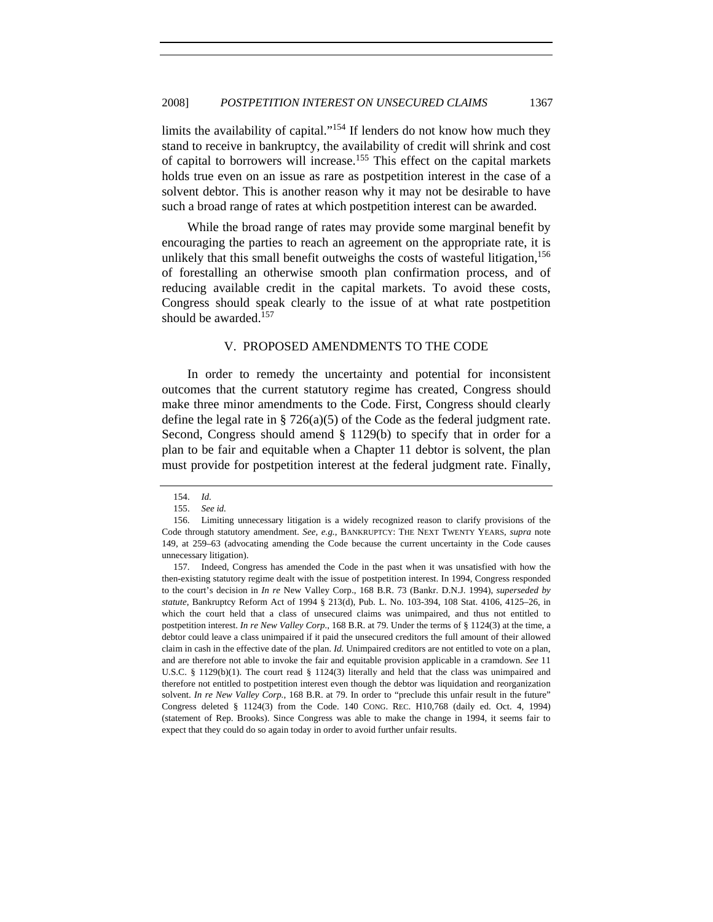limits the availability of capital."<sup>154</sup> If lenders do not know how much they stand to receive in bankruptcy, the availability of credit will shrink and cost of capital to borrowers will increase.155 This effect on the capital markets holds true even on an issue as rare as postpetition interest in the case of a solvent debtor. This is another reason why it may not be desirable to have such a broad range of rates at which postpetition interest can be awarded.

While the broad range of rates may provide some marginal benefit by encouraging the parties to reach an agreement on the appropriate rate, it is unlikely that this small benefit outweighs the costs of wasteful litigation,  $156$ of forestalling an otherwise smooth plan confirmation process, and of reducing available credit in the capital markets. To avoid these costs, Congress should speak clearly to the issue of at what rate postpetition should be awarded. $157$ 

## V. PROPOSED AMENDMENTS TO THE CODE

In order to remedy the uncertainty and potential for inconsistent outcomes that the current statutory regime has created, Congress should make three minor amendments to the Code. First, Congress should clearly define the legal rate in § 726(a)(5) of the Code as the federal judgment rate. Second, Congress should amend § 1129(b) to specify that in order for a plan to be fair and equitable when a Chapter 11 debtor is solvent, the plan must provide for postpetition interest at the federal judgment rate. Finally,

<sup>154.</sup> *Id.*

<sup>155.</sup> *See id.*

 <sup>156.</sup> Limiting unnecessary litigation is a widely recognized reason to clarify provisions of the Code through statutory amendment. *See, e.g.*, BANKRUPTCY: THE NEXT TWENTY YEARS, *supra* note 149, at 259–63 (advocating amending the Code because the current uncertainty in the Code causes unnecessary litigation).

 <sup>157.</sup> Indeed, Congress has amended the Code in the past when it was unsatisfied with how the then-existing statutory regime dealt with the issue of postpetition interest. In 1994, Congress responded to the court's decision in *In re* New Valley Corp., 168 B.R. 73 (Bankr. D.N.J. 1994), *superseded by statute*, Bankruptcy Reform Act of 1994 § 213(d), Pub. L. No. 103-394, 108 Stat. 4106, 4125–26, in which the court held that a class of unsecured claims was unimpaired, and thus not entitled to postpetition interest. *In re New Valley Corp.*, 168 B.R. at 79. Under the terms of § 1124(3) at the time, a debtor could leave a class unimpaired if it paid the unsecured creditors the full amount of their allowed claim in cash in the effective date of the plan. *Id.* Unimpaired creditors are not entitled to vote on a plan, and are therefore not able to invoke the fair and equitable provision applicable in a cramdown. *See* 11 U.S.C. § 1129(b)(1). The court read § 1124(3) literally and held that the class was unimpaired and therefore not entitled to postpetition interest even though the debtor was liquidation and reorganization solvent. *In re New Valley Corp.*, 168 B.R. at 79. In order to "preclude this unfair result in the future" Congress deleted § 1124(3) from the Code. 140 CONG. REC. H10,768 (daily ed. Oct. 4, 1994) (statement of Rep. Brooks). Since Congress was able to make the change in 1994, it seems fair to expect that they could do so again today in order to avoid further unfair results.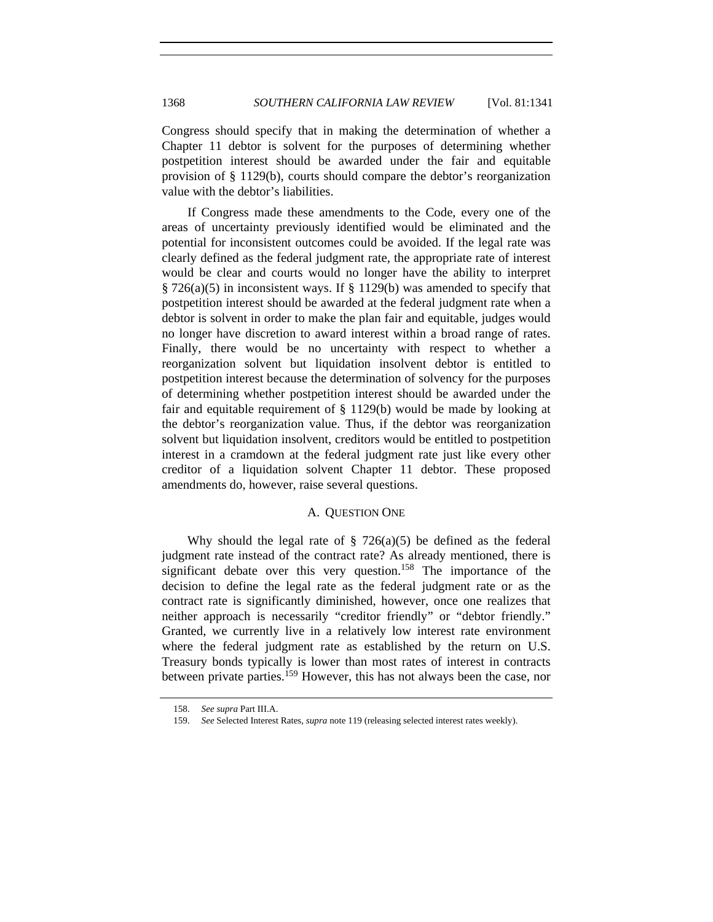Congress should specify that in making the determination of whether a Chapter 11 debtor is solvent for the purposes of determining whether postpetition interest should be awarded under the fair and equitable provision of § 1129(b), courts should compare the debtor's reorganization value with the debtor's liabilities.

If Congress made these amendments to the Code, every one of the areas of uncertainty previously identified would be eliminated and the potential for inconsistent outcomes could be avoided. If the legal rate was clearly defined as the federal judgment rate, the appropriate rate of interest would be clear and courts would no longer have the ability to interpret § 726(a)(5) in inconsistent ways. If § 1129(b) was amended to specify that postpetition interest should be awarded at the federal judgment rate when a debtor is solvent in order to make the plan fair and equitable, judges would no longer have discretion to award interest within a broad range of rates. Finally, there would be no uncertainty with respect to whether a reorganization solvent but liquidation insolvent debtor is entitled to postpetition interest because the determination of solvency for the purposes of determining whether postpetition interest should be awarded under the fair and equitable requirement of § 1129(b) would be made by looking at the debtor's reorganization value. Thus, if the debtor was reorganization solvent but liquidation insolvent, creditors would be entitled to postpetition interest in a cramdown at the federal judgment rate just like every other creditor of a liquidation solvent Chapter 11 debtor. These proposed amendments do, however, raise several questions.

## A. QUESTION ONE

Why should the legal rate of  $\S$  726(a)(5) be defined as the federal judgment rate instead of the contract rate? As already mentioned, there is significant debate over this very question.<sup>158</sup> The importance of the decision to define the legal rate as the federal judgment rate or as the contract rate is significantly diminished, however, once one realizes that neither approach is necessarily "creditor friendly" or "debtor friendly." Granted, we currently live in a relatively low interest rate environment where the federal judgment rate as established by the return on U.S. Treasury bonds typically is lower than most rates of interest in contracts between private parties.<sup>159</sup> However, this has not always been the case, nor

<sup>158.</sup> *See supra* Part III.A.

<sup>159.</sup> *See* Selected Interest Rates, *supra* note 119 (releasing selected interest rates weekly).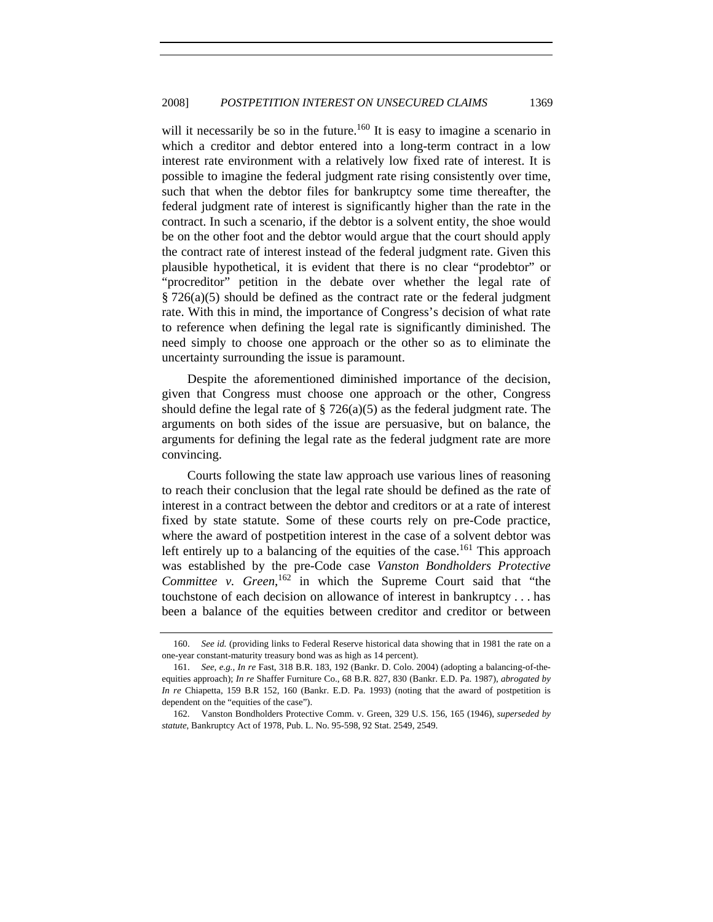will it necessarily be so in the future.<sup>160</sup> It is easy to imagine a scenario in which a creditor and debtor entered into a long-term contract in a low interest rate environment with a relatively low fixed rate of interest. It is possible to imagine the federal judgment rate rising consistently over time, such that when the debtor files for bankruptcy some time thereafter, the federal judgment rate of interest is significantly higher than the rate in the contract. In such a scenario, if the debtor is a solvent entity, the shoe would be on the other foot and the debtor would argue that the court should apply the contract rate of interest instead of the federal judgment rate. Given this plausible hypothetical, it is evident that there is no clear "prodebtor" or "procreditor" petition in the debate over whether the legal rate of § 726(a)(5) should be defined as the contract rate or the federal judgment rate. With this in mind, the importance of Congress's decision of what rate to reference when defining the legal rate is significantly diminished. The need simply to choose one approach or the other so as to eliminate the uncertainty surrounding the issue is paramount.

Despite the aforementioned diminished importance of the decision, given that Congress must choose one approach or the other, Congress should define the legal rate of  $\S 726(a)(5)$  as the federal judgment rate. The arguments on both sides of the issue are persuasive, but on balance, the arguments for defining the legal rate as the federal judgment rate are more convincing.

Courts following the state law approach use various lines of reasoning to reach their conclusion that the legal rate should be defined as the rate of interest in a contract between the debtor and creditors or at a rate of interest fixed by state statute. Some of these courts rely on pre-Code practice, where the award of postpetition interest in the case of a solvent debtor was left entirely up to a balancing of the equities of the case.<sup>161</sup> This approach was established by the pre-Code case *Vanston Bondholders Protective*  Committee v. Green,<sup>162</sup> in which the Supreme Court said that "the touchstone of each decision on allowance of interest in bankruptcy . . . has been a balance of the equities between creditor and creditor or between

<sup>160.</sup> *See id.* (providing links to Federal Reserve historical data showing that in 1981 the rate on a one-year constant-maturity treasury bond was as high as 14 percent).

<sup>161.</sup> *See, e.g.*, *In re* Fast, 318 B.R. 183, 192 (Bankr. D. Colo. 2004) (adopting a balancing-of-theequities approach); *In re* Shaffer Furniture Co., 68 B.R. 827, 830 (Bankr. E.D. Pa. 1987), *abrogated by In re* Chiapetta, 159 B.R 152, 160 (Bankr. E.D. Pa. 1993) (noting that the award of postpetition is dependent on the "equities of the case").

 <sup>162.</sup> Vanston Bondholders Protective Comm. v. Green, 329 U.S. 156, 165 (1946), *superseded by statute*, Bankruptcy Act of 1978, Pub. L. No. 95-598, 92 Stat. 2549, 2549.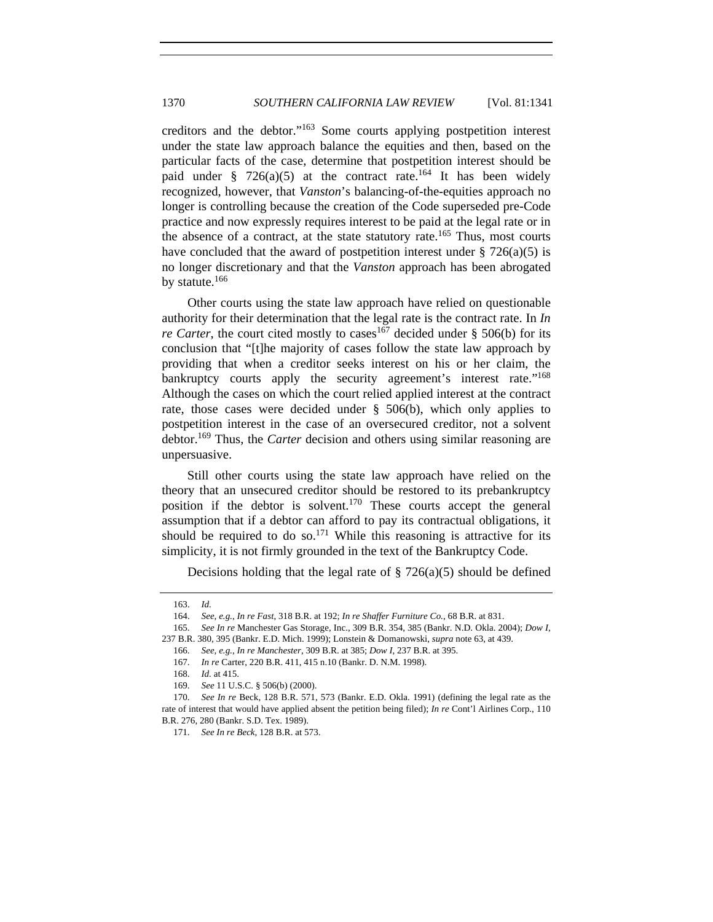creditors and the debtor."163 Some courts applying postpetition interest under the state law approach balance the equities and then, based on the particular facts of the case, determine that postpetition interest should be paid under § 726(a)(5) at the contract rate.<sup>164</sup> It has been widely recognized, however, that *Vanston*'s balancing-of-the-equities approach no longer is controlling because the creation of the Code superseded pre-Code practice and now expressly requires interest to be paid at the legal rate or in the absence of a contract, at the state statutory rate.<sup>165</sup> Thus, most courts have concluded that the award of postpetition interest under  $\S 726(a)(5)$  is no longer discretionary and that the *Vanston* approach has been abrogated by statute.<sup>166</sup>

Other courts using the state law approach have relied on questionable authority for their determination that the legal rate is the contract rate. In *In re Carter*, the court cited mostly to cases<sup>167</sup> decided under § 506(b) for its conclusion that "[t]he majority of cases follow the state law approach by providing that when a creditor seeks interest on his or her claim, the bankruptcy courts apply the security agreement's interest rate."<sup>168</sup> Although the cases on which the court relied applied interest at the contract rate, those cases were decided under § 506(b), which only applies to postpetition interest in the case of an oversecured creditor, not a solvent debtor.169 Thus, the *Carter* decision and others using similar reasoning are unpersuasive.

Still other courts using the state law approach have relied on the theory that an unsecured creditor should be restored to its prebankruptcy position if the debtor is solvent.<sup>170</sup> These courts accept the general assumption that if a debtor can afford to pay its contractual obligations, it should be required to do so.<sup>171</sup> While this reasoning is attractive for its simplicity, it is not firmly grounded in the text of the Bankruptcy Code.

Decisions holding that the legal rate of  $\S$  726(a)(5) should be defined

<sup>163.</sup> *Id.*

<sup>164.</sup> *See, e.g.*, *In re Fast*, 318 B.R. at 192; *In re Shaffer Furniture Co.*, 68 B.R. at 831.

<sup>165.</sup> *See In re* Manchester Gas Storage, Inc., 309 B.R. 354, 385 (Bankr. N.D. Okla. 2004); *Dow I*, 237 B.R. 380, 395 (Bankr. E.D. Mich. 1999); Lonstein & Domanowski, *supra* note 63, at 439.

<sup>166.</sup> *See, e.g.*, *In re Manchester*, 309 B.R. at 385; *Dow I*, 237 B.R. at 395.

 <sup>167.</sup> *In re* Carter, 220 B.R. 411, 415 n.10 (Bankr. D. N.M. 1998).

<sup>168.</sup> *Id.* at 415.

<sup>169.</sup> *See* 11 U.S.C. § 506(b) (2000).

<sup>170.</sup> *See In re* Beck, 128 B.R. 571, 573 (Bankr. E.D. Okla. 1991) (defining the legal rate as the rate of interest that would have applied absent the petition being filed); *In re* Cont'l Airlines Corp., 110 B.R. 276, 280 (Bankr. S.D. Tex. 1989).

<sup>171.</sup> *See In re Beck*, 128 B.R. at 573.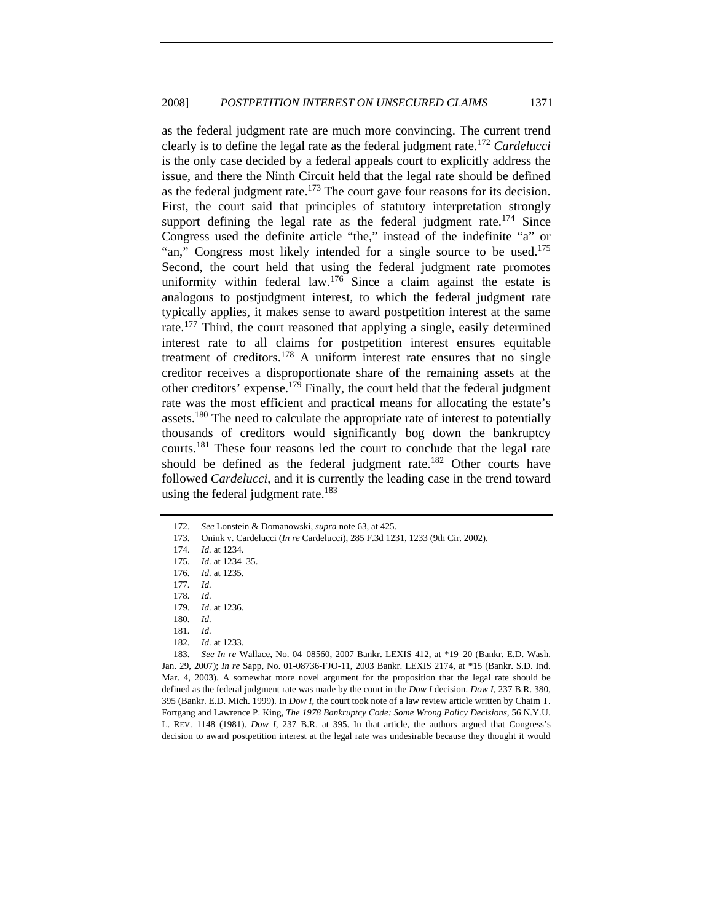as the federal judgment rate are much more convincing. The current trend clearly is to define the legal rate as the federal judgment rate.<sup>172</sup> *Cardelucci* is the only case decided by a federal appeals court to explicitly address the issue, and there the Ninth Circuit held that the legal rate should be defined as the federal judgment rate.<sup>173</sup> The court gave four reasons for its decision. First, the court said that principles of statutory interpretation strongly support defining the legal rate as the federal judgment rate.<sup>174</sup> Since Congress used the definite article "the," instead of the indefinite "a" or "an," Congress most likely intended for a single source to be used.<sup>175</sup> Second, the court held that using the federal judgment rate promotes uniformity within federal law.<sup>176</sup> Since a claim against the estate is analogous to postjudgment interest, to which the federal judgment rate typically applies, it makes sense to award postpetition interest at the same rate.<sup>177</sup> Third, the court reasoned that applying a single, easily determined interest rate to all claims for postpetition interest ensures equitable treatment of creditors.<sup>178</sup> A uniform interest rate ensures that no single creditor receives a disproportionate share of the remaining assets at the other creditors' expense.179 Finally, the court held that the federal judgment rate was the most efficient and practical means for allocating the estate's assets.<sup>180</sup> The need to calculate the appropriate rate of interest to potentially thousands of creditors would significantly bog down the bankruptcy courts.181 These four reasons led the court to conclude that the legal rate should be defined as the federal judgment rate.<sup>182</sup> Other courts have followed *Cardelucci*, and it is currently the leading case in the trend toward using the federal judgment rate. $183$ 

181. *Id.*

<sup>172.</sup> *See* Lonstein & Domanowski, *supra* note 63, at 425.

 <sup>173.</sup> Onink v. Cardelucci (*In re* Cardelucci), 285 F.3d 1231, 1233 (9th Cir. 2002).

<sup>174.</sup> *Id.* at 1234.

<sup>175.</sup> *Id.* at 1234–35.

<sup>176.</sup> *Id.* at 1235.

<sup>177.</sup> *Id.*

<sup>178.</sup> *Id.*

<sup>179.</sup> *Id.* at 1236.

<sup>180.</sup> *Id.*

<sup>182.</sup> *Id.* at 1233.

<sup>183.</sup> *See In re* Wallace, No. 04–08560, 2007 Bankr. LEXIS 412, at \*19–20 (Bankr. E.D. Wash. Jan. 29, 2007); *In re* Sapp, No. 01-08736-FJO-11, 2003 Bankr. LEXIS 2174, at \*15 (Bankr. S.D. Ind. Mar. 4, 2003). A somewhat more novel argument for the proposition that the legal rate should be defined as the federal judgment rate was made by the court in the *Dow I* decision. *Dow I*, 237 B.R. 380, 395 (Bankr. E.D. Mich. 1999). In *Dow I*, the court took note of a law review article written by Chaim T. Fortgang and Lawrence P. King, *The 1978 Bankruptcy Code: Some Wrong Policy Decisions*, 56 N.Y.U. L. REV. 1148 (1981). *Dow I*, 237 B.R. at 395. In that article, the authors argued that Congress's decision to award postpetition interest at the legal rate was undesirable because they thought it would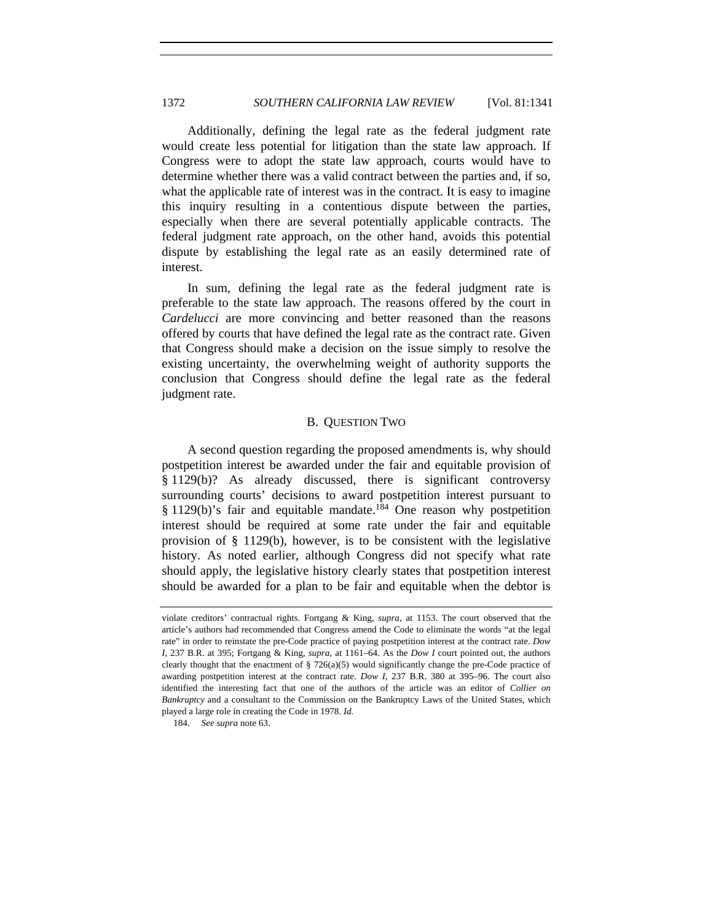Additionally, defining the legal rate as the federal judgment rate would create less potential for litigation than the state law approach. If Congress were to adopt the state law approach, courts would have to determine whether there was a valid contract between the parties and, if so, what the applicable rate of interest was in the contract. It is easy to imagine this inquiry resulting in a contentious dispute between the parties, especially when there are several potentially applicable contracts. The federal judgment rate approach, on the other hand, avoids this potential dispute by establishing the legal rate as an easily determined rate of interest.

In sum, defining the legal rate as the federal judgment rate is preferable to the state law approach. The reasons offered by the court in *Cardelucci* are more convincing and better reasoned than the reasons offered by courts that have defined the legal rate as the contract rate. Given that Congress should make a decision on the issue simply to resolve the existing uncertainty, the overwhelming weight of authority supports the conclusion that Congress should define the legal rate as the federal judgment rate.

#### B. QUESTION TWO

A second question regarding the proposed amendments is, why should postpetition interest be awarded under the fair and equitable provision of § 1129(b)? As already discussed, there is significant controversy surrounding courts' decisions to award postpetition interest pursuant to § 1129(b)'s fair and equitable mandate.<sup>184</sup> One reason why postpetition interest should be required at some rate under the fair and equitable provision of  $\S$  1129(b), however, is to be consistent with the legislative history. As noted earlier, although Congress did not specify what rate should apply, the legislative history clearly states that postpetition interest should be awarded for a plan to be fair and equitable when the debtor is

violate creditors' contractual rights. Fortgang & King, *supra*, at 1153. The court observed that the article's authors had recommended that Congress amend the Code to eliminate the words "at the legal rate" in order to reinstate the pre-Code practice of paying postpetition interest at the contract rate. *Dow I*, 237 B.R. at 395; Fortgang & King, *supra*, at 1161–64. As the *Dow I* court pointed out, the authors clearly thought that the enactment of  $\S 726(a)(5)$  would significantly change the pre-Code practice of awarding postpetition interest at the contract rate. *Dow I*, 237 B.R. 380 at 395–96. The court also identified the interesting fact that one of the authors of the article was an editor of *Collier on Bankruptcy* and a consultant to the Commission on the Bankruptcy Laws of the United States, which played a large role in creating the Code in 1978. *Id.* 

<sup>184.</sup> *See supra* note 63.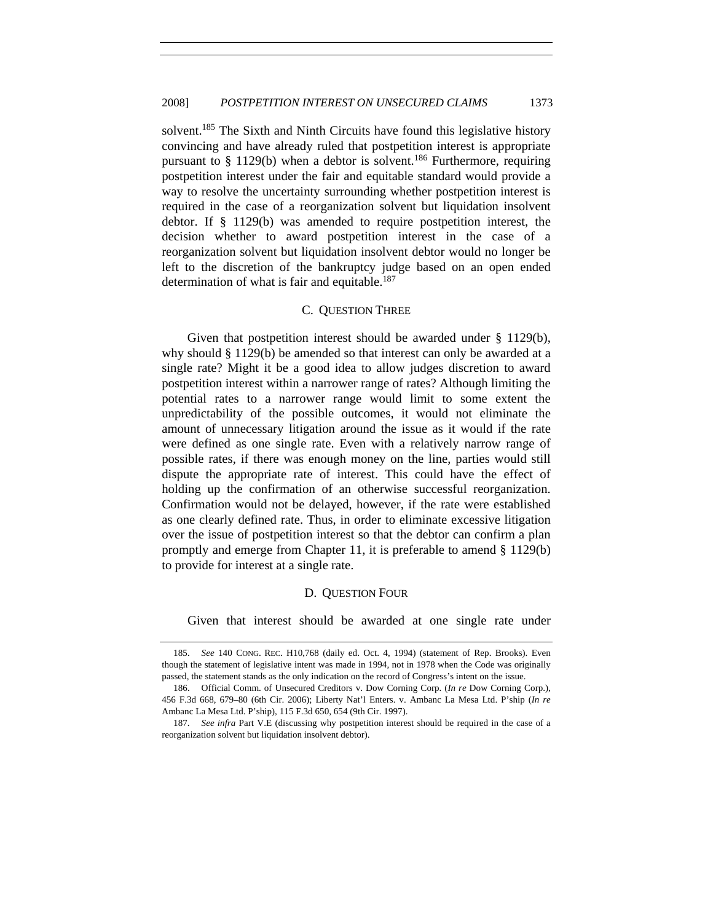solvent.<sup>185</sup> The Sixth and Ninth Circuits have found this legislative history convincing and have already ruled that postpetition interest is appropriate pursuant to  $\S$  1129(b) when a debtor is solvent.<sup>186</sup> Furthermore, requiring postpetition interest under the fair and equitable standard would provide a way to resolve the uncertainty surrounding whether postpetition interest is required in the case of a reorganization solvent but liquidation insolvent debtor. If § 1129(b) was amended to require postpetition interest, the decision whether to award postpetition interest in the case of a reorganization solvent but liquidation insolvent debtor would no longer be left to the discretion of the bankruptcy judge based on an open ended determination of what is fair and equitable. $187$ 

#### C. QUESTION THREE

Given that postpetition interest should be awarded under § 1129(b), why should § 1129(b) be amended so that interest can only be awarded at a single rate? Might it be a good idea to allow judges discretion to award postpetition interest within a narrower range of rates? Although limiting the potential rates to a narrower range would limit to some extent the unpredictability of the possible outcomes, it would not eliminate the amount of unnecessary litigation around the issue as it would if the rate were defined as one single rate. Even with a relatively narrow range of possible rates, if there was enough money on the line, parties would still dispute the appropriate rate of interest. This could have the effect of holding up the confirmation of an otherwise successful reorganization. Confirmation would not be delayed, however, if the rate were established as one clearly defined rate. Thus, in order to eliminate excessive litigation over the issue of postpetition interest so that the debtor can confirm a plan promptly and emerge from Chapter 11, it is preferable to amend § 1129(b) to provide for interest at a single rate.

#### D. QUESTION FOUR

Given that interest should be awarded at one single rate under

<sup>185.</sup> *See* 140 CONG. REC. H10,768 (daily ed. Oct. 4, 1994) (statement of Rep. Brooks). Even though the statement of legislative intent was made in 1994, not in 1978 when the Code was originally passed, the statement stands as the only indication on the record of Congress's intent on the issue.

<sup>186.</sup> Official Comm. of Unsecured Creditors v. Dow Corning Corp. (*In re* Dow Corning Corp.), 456 F.3d 668, 679–80 (6th Cir. 2006); Liberty Nat'l Enters. v. Ambanc La Mesa Ltd. P'ship (*In re*  Ambanc La Mesa Ltd. P'ship), 115 F.3d 650, 654 (9th Cir. 1997).

<sup>187.</sup> *See infra* Part V.E (discussing why postpetition interest should be required in the case of a reorganization solvent but liquidation insolvent debtor).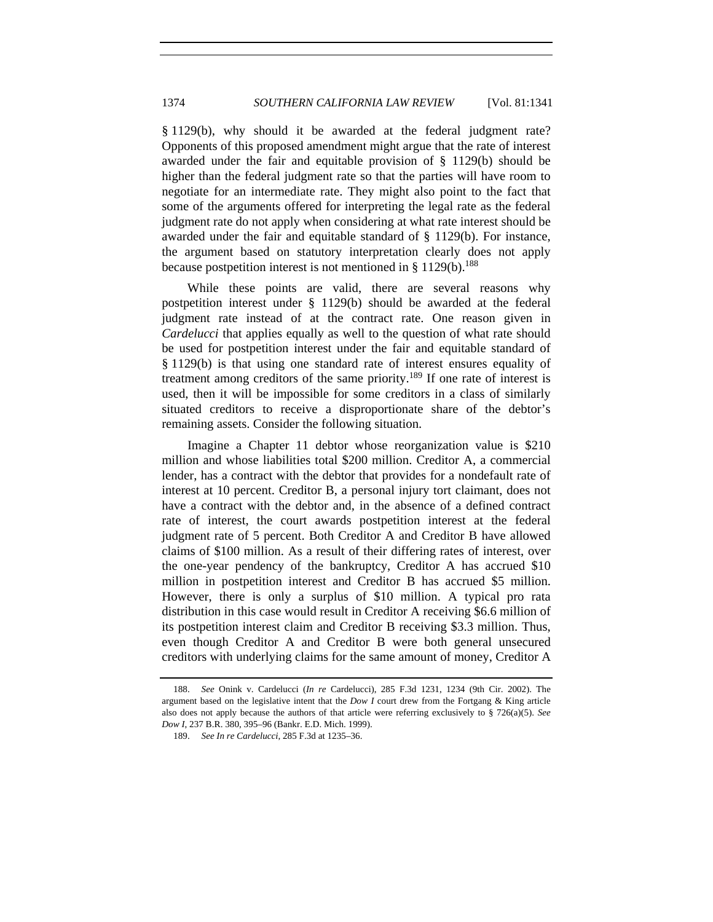§ 1129(b), why should it be awarded at the federal judgment rate? Opponents of this proposed amendment might argue that the rate of interest awarded under the fair and equitable provision of § 1129(b) should be higher than the federal judgment rate so that the parties will have room to negotiate for an intermediate rate. They might also point to the fact that some of the arguments offered for interpreting the legal rate as the federal judgment rate do not apply when considering at what rate interest should be awarded under the fair and equitable standard of § 1129(b). For instance, the argument based on statutory interpretation clearly does not apply because postpetition interest is not mentioned in  $\S 1129(b)$ .<sup>188</sup>

While these points are valid, there are several reasons why postpetition interest under § 1129(b) should be awarded at the federal judgment rate instead of at the contract rate. One reason given in *Cardelucci* that applies equally as well to the question of what rate should be used for postpetition interest under the fair and equitable standard of § 1129(b) is that using one standard rate of interest ensures equality of treatment among creditors of the same priority.189 If one rate of interest is used, then it will be impossible for some creditors in a class of similarly situated creditors to receive a disproportionate share of the debtor's remaining assets. Consider the following situation.

Imagine a Chapter 11 debtor whose reorganization value is \$210 million and whose liabilities total \$200 million. Creditor A, a commercial lender, has a contract with the debtor that provides for a nondefault rate of interest at 10 percent. Creditor B, a personal injury tort claimant, does not have a contract with the debtor and, in the absence of a defined contract rate of interest, the court awards postpetition interest at the federal judgment rate of 5 percent. Both Creditor A and Creditor B have allowed claims of \$100 million. As a result of their differing rates of interest, over the one-year pendency of the bankruptcy, Creditor A has accrued \$10 million in postpetition interest and Creditor B has accrued \$5 million. However, there is only a surplus of \$10 million. A typical pro rata distribution in this case would result in Creditor A receiving \$6.6 million of its postpetition interest claim and Creditor B receiving \$3.3 million. Thus, even though Creditor A and Creditor B were both general unsecured creditors with underlying claims for the same amount of money, Creditor A

<sup>188.</sup> *See* Onink v. Cardelucci (*In re* Cardelucci), 285 F.3d 1231, 1234 (9th Cir. 2002). The argument based on the legislative intent that the *Dow I* court drew from the Fortgang & King article also does not apply because the authors of that article were referring exclusively to § 726(a)(5). *See Dow I*, 237 B.R. 380, 395–96 (Bankr. E.D. Mich. 1999).

<sup>189.</sup> *See In re Cardelucci*, 285 F.3d at 1235–36.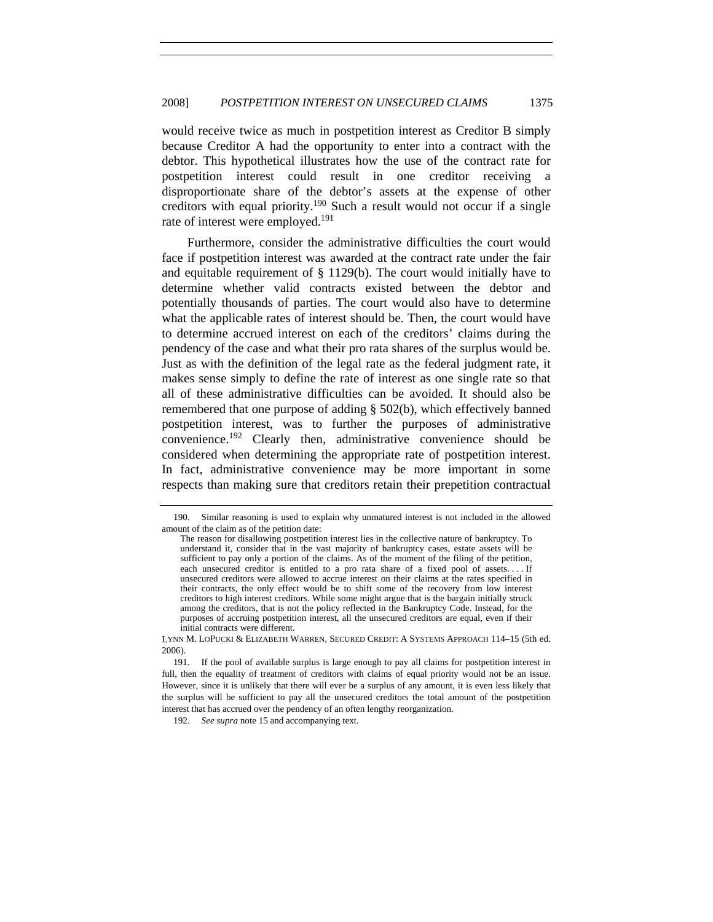would receive twice as much in postpetition interest as Creditor B simply because Creditor A had the opportunity to enter into a contract with the debtor. This hypothetical illustrates how the use of the contract rate for postpetition interest could result in one creditor receiving a disproportionate share of the debtor's assets at the expense of other creditors with equal priority.190 Such a result would not occur if a single rate of interest were employed.<sup>191</sup>

Furthermore, consider the administrative difficulties the court would face if postpetition interest was awarded at the contract rate under the fair and equitable requirement of  $\S$  1129(b). The court would initially have to determine whether valid contracts existed between the debtor and potentially thousands of parties. The court would also have to determine what the applicable rates of interest should be. Then, the court would have to determine accrued interest on each of the creditors' claims during the pendency of the case and what their pro rata shares of the surplus would be. Just as with the definition of the legal rate as the federal judgment rate, it makes sense simply to define the rate of interest as one single rate so that all of these administrative difficulties can be avoided. It should also be remembered that one purpose of adding § 502(b), which effectively banned postpetition interest, was to further the purposes of administrative convenience.192 Clearly then, administrative convenience should be considered when determining the appropriate rate of postpetition interest. In fact, administrative convenience may be more important in some respects than making sure that creditors retain their prepetition contractual

 <sup>190.</sup> Similar reasoning is used to explain why unmatured interest is not included in the allowed amount of the claim as of the petition date:

The reason for disallowing postpetition interest lies in the collective nature of bankruptcy. To understand it, consider that in the vast majority of bankruptcy cases, estate assets will be sufficient to pay only a portion of the claims. As of the moment of the filing of the petition, each unsecured creditor is entitled to a pro rata share of a fixed pool of assets. . . . If unsecured creditors were allowed to accrue interest on their claims at the rates specified in their contracts, the only effect would be to shift some of the recovery from low interest creditors to high interest creditors. While some might argue that is the bargain initially struck among the creditors, that is not the policy reflected in the Bankruptcy Code. Instead, for the purposes of accruing postpetition interest, all the unsecured creditors are equal, even if their initial contracts were different.

LYNN M. LOPUCKI & ELIZABETH WARREN, SECURED CREDIT: A SYSTEMS APPROACH 114–15 (5th ed. 2006).

 <sup>191.</sup> If the pool of available surplus is large enough to pay all claims for postpetition interest in full, then the equality of treatment of creditors with claims of equal priority would not be an issue. However, since it is unlikely that there will ever be a surplus of any amount, it is even less likely that the surplus will be sufficient to pay all the unsecured creditors the total amount of the postpetition interest that has accrued over the pendency of an often lengthy reorganization.

<sup>192.</sup> *See supra* note 15 and accompanying text.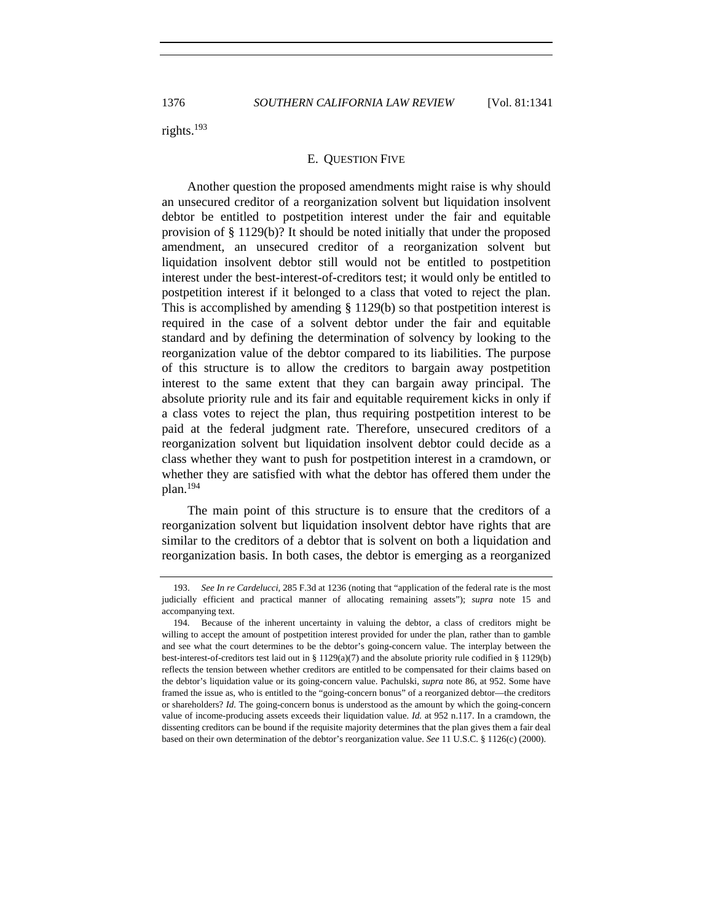rights.193

#### E. QUESTION FIVE

Another question the proposed amendments might raise is why should an unsecured creditor of a reorganization solvent but liquidation insolvent debtor be entitled to postpetition interest under the fair and equitable provision of § 1129(b)? It should be noted initially that under the proposed amendment, an unsecured creditor of a reorganization solvent but liquidation insolvent debtor still would not be entitled to postpetition interest under the best-interest-of-creditors test; it would only be entitled to postpetition interest if it belonged to a class that voted to reject the plan. This is accomplished by amending § 1129(b) so that postpetition interest is required in the case of a solvent debtor under the fair and equitable standard and by defining the determination of solvency by looking to the reorganization value of the debtor compared to its liabilities. The purpose of this structure is to allow the creditors to bargain away postpetition interest to the same extent that they can bargain away principal. The absolute priority rule and its fair and equitable requirement kicks in only if a class votes to reject the plan, thus requiring postpetition interest to be paid at the federal judgment rate. Therefore, unsecured creditors of a reorganization solvent but liquidation insolvent debtor could decide as a class whether they want to push for postpetition interest in a cramdown, or whether they are satisfied with what the debtor has offered them under the plan.194

The main point of this structure is to ensure that the creditors of a reorganization solvent but liquidation insolvent debtor have rights that are similar to the creditors of a debtor that is solvent on both a liquidation and reorganization basis. In both cases, the debtor is emerging as a reorganized

 <sup>193.</sup> *See In re Cardelucci*, 285 F.3d at 1236 (noting that "application of the federal rate is the most judicially efficient and practical manner of allocating remaining assets"); *supra* note 15 and accompanying text.

 <sup>194.</sup> Because of the inherent uncertainty in valuing the debtor, a class of creditors might be willing to accept the amount of postpetition interest provided for under the plan, rather than to gamble and see what the court determines to be the debtor's going-concern value. The interplay between the best-interest-of-creditors test laid out in § 1129(a)(7) and the absolute priority rule codified in § 1129(b) reflects the tension between whether creditors are entitled to be compensated for their claims based on the debtor's liquidation value or its going-concern value. Pachulski, *supra* note 86, at 952. Some have framed the issue as, who is entitled to the "going-concern bonus" of a reorganized debtor—the creditors or shareholders? *Id.* The going-concern bonus is understood as the amount by which the going-concern value of income-producing assets exceeds their liquidation value. *Id.* at 952 n.117. In a cramdown, the dissenting creditors can be bound if the requisite majority determines that the plan gives them a fair deal based on their own determination of the debtor's reorganization value. *See* 11 U.S.C. § 1126(c) (2000).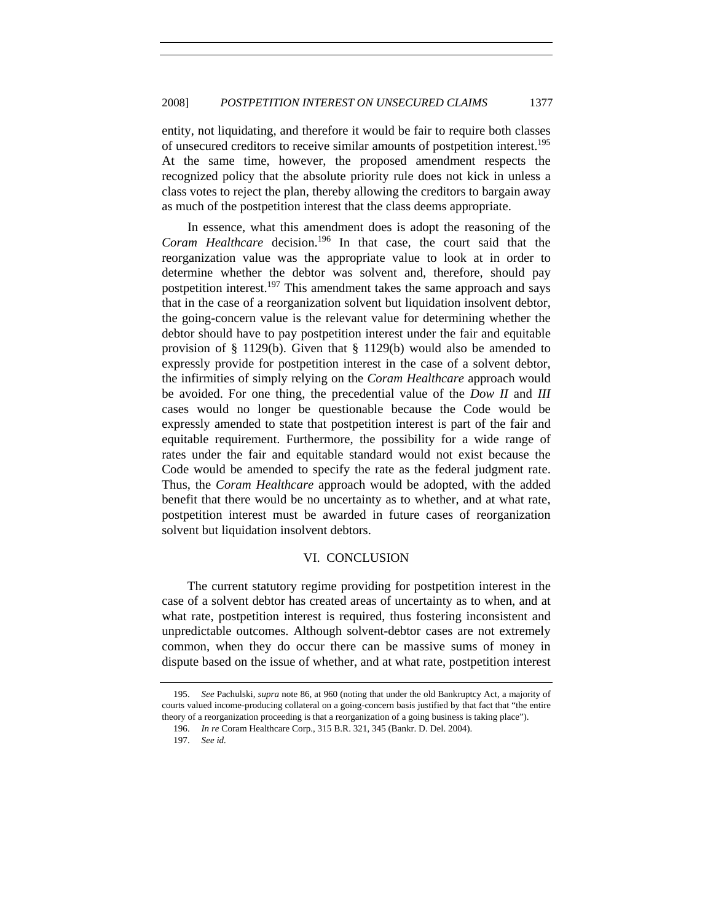entity, not liquidating, and therefore it would be fair to require both classes of unsecured creditors to receive similar amounts of postpetition interest.195 At the same time, however, the proposed amendment respects the recognized policy that the absolute priority rule does not kick in unless a class votes to reject the plan, thereby allowing the creditors to bargain away as much of the postpetition interest that the class deems appropriate.

In essence, what this amendment does is adopt the reasoning of the *Coram Healthcare* decision.196 In that case, the court said that the reorganization value was the appropriate value to look at in order to determine whether the debtor was solvent and, therefore, should pay postpetition interest.<sup>197</sup> This amendment takes the same approach and says that in the case of a reorganization solvent but liquidation insolvent debtor, the going-concern value is the relevant value for determining whether the debtor should have to pay postpetition interest under the fair and equitable provision of § 1129(b). Given that § 1129(b) would also be amended to expressly provide for postpetition interest in the case of a solvent debtor, the infirmities of simply relying on the *Coram Healthcare* approach would be avoided. For one thing, the precedential value of the *Dow II* and *III* cases would no longer be questionable because the Code would be expressly amended to state that postpetition interest is part of the fair and equitable requirement. Furthermore, the possibility for a wide range of rates under the fair and equitable standard would not exist because the Code would be amended to specify the rate as the federal judgment rate. Thus, the *Coram Healthcare* approach would be adopted, with the added benefit that there would be no uncertainty as to whether, and at what rate, postpetition interest must be awarded in future cases of reorganization solvent but liquidation insolvent debtors.

# VI. CONCLUSION

The current statutory regime providing for postpetition interest in the case of a solvent debtor has created areas of uncertainty as to when, and at what rate, postpetition interest is required, thus fostering inconsistent and unpredictable outcomes. Although solvent-debtor cases are not extremely common, when they do occur there can be massive sums of money in dispute based on the issue of whether, and at what rate, postpetition interest

<sup>195.</sup> *See* Pachulski, *supra* note 86, at 960 (noting that under the old Bankruptcy Act, a majority of courts valued income-producing collateral on a going-concern basis justified by that fact that "the entire theory of a reorganization proceeding is that a reorganization of a going business is taking place").

 <sup>196.</sup> *In re* Coram Healthcare Corp., 315 B.R. 321, 345 (Bankr. D. Del. 2004).

<sup>197.</sup> *See id.*